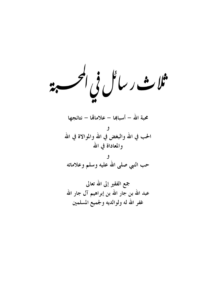ثلاث رسا<sup>ف</sup>ل في المحر 

محبة الله – أسبابها – علاماتها – نتائجها و<br>الحب في الله والبغض في الله والموالاة في الله والمعاداة في الله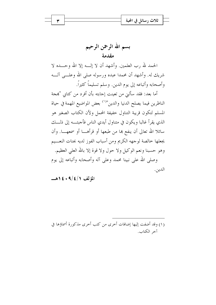بسم الله الرحمن الرحيم مقدمة

الحمد لله رب العلمين. وأشهد أن لا إلـــه إلا الله وحــــده لا شريك له. وأشهد أن محمدا عبده ورسوله صلى الله وعلـــي آلـــه وأصحابه وأتباعه إلى يوم الدين. وسلم تسليماً كثيراً.

أما بعد: فقد سألني من تعينت إجابته بأن أفرد من كتابي "بمجة الناظرين فيما يصلح الدنيا والدين"<sup>(١)</sup> بعض المواضيع المهمة في حياة المسلم لتكون قريبة التناول حفيفة المحمل ولأن الكتاب الصغير هو الذي يقرأ غالبا ويكون في متناول أيدي الناس فأجبتـــه إلى ذلـــك سائلا الله تعالى أن ينفع بما من طبعها أو قرأهـــا أو سمعهـــا. وأن يجعلها حالصة لوجهه الكريم ومن أسباب الفوز لديه بجنات النعسيم وهو حسبنا ونعم الوكيل ولا حول ولا قوة إلا بالله العلي العظيم. وصلى الله على نبينا محمد وعلى آله وأصحابه وأتباعه إلى يوم الدين.

 $1\leq s \leq 9/5/7$ 

(١) وقد أضفت إليها إضافات أخرى من كتب أخرى مذكورة أسماؤها في آخر الكتاب.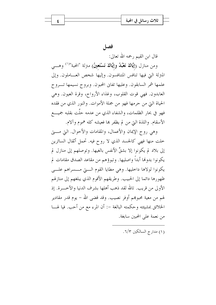## فصل

قال ابن القيم رحمه الله تعالى:

ومن منازل (إيَّاكَ نَعْبُدُ وإيَّاكَ نَسْتَعِينُ) مترلة "المحبة"<sup>(١)</sup> وهـــي المترلة التي فيها تنافس المتنافسون. وإليها شخص العــاملون. وإلى علمها شمر السابقون. وعليها تفايي المحبون. وبروح نسيمها تـــروح العابدون. فهي قوت القلوب، وغذاء الأرواح، وقرة العيون. وهي الحياة التي من حرمها فهو من جملة الأموات. والنور الذي من فقده فهو في بحار الظلمات، والشفاء الذي من عدمه حلَّت بقلبه جميــــع الأسقام. واللذة التي من لم يظفر بما فعيشه كله هموم وآلام.

وهي روح الإيمان والأعمال، والمقامات والأحوال. التي مستي خلت منها فهي كالجسد الذي لا روح فيه. تحمل أثقال السائرين إلى بلاد لم يكونوا إلا بشقِّ الأنفس بالغيها. وتوصلهم إلى منازل لم يكونوا بدولها أبداً واصليها. وتبوؤهم من مقاعد الصدق مقامات لم يكونوا لولاها داخليها. وهي مطايا القوم الـــتي مــــسراهم علـــي ظهورها دائما إلى الحبيب. وطريقهم الأقوم الذي يبلغهم إلى منازلهم الأولى من قريب. تالله لقد ذهب أهلها بشرف الدنيا والآحـــرة. إذ لهم من معية محبوبهم أوفر نصيب. وقد قضي الله – يوم قدر مقادير الخلائق بمشيئته وحكمته البالغة –: أن المرء مع من أحب. فيا لهـــا من نعمة على المحبين سابغة.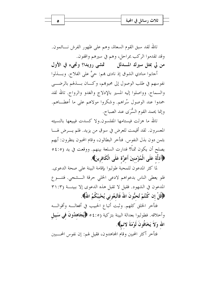| Δ | ىلا ب                        |  |
|---|------------------------------|--|
|   | $\overline{\phantom{a}}$<br> |  |
|   |                              |  |

تالله لقد سبق القوم السعاة، وهم على ظهور الفرش نــــائمون. وقد تقدموا الركب بمراحل، وهم في سيرهم واقفون. من لي بمثل سيرك المسدلل مستحق دويدا؟ وتجيء في الأول

أجابوا منادي الشوق إذ نادي بمم: حيٌّ على الفلاح. وبـــذلوا نفوسهم في طلب الوصول إلى محبوبهم، وكـــان بــــذلهم بالرضــــي والسماح. وواصلوا إليه المسير بالإدلاج والغدو والرواح. تالله لقد حمدوا عند الوصول سُراهم. وشكروا مولاهم على ما أعطـــاهم. وإنما يحمد القوم السُّرَى عند الصباح.

تالله ما هزلت فيستامها المفلسون.ولا كسدت فيبيعها بالنسيئه المعسرون. لقد أقيمت للعرض في سوق من يزيد. فلم يــــرض لهــــا بثمن دون بذل النفوس. فتأخر البطالون، وقام المحبون ينظرون: أيهم يصلح أن يكون ثمناً؟ فدارت السلعة بينهم. ووقعت في يد (٤:٥٥ ﴿أَذَلَّة عَلَى الْمُؤْمنينَ أَعزَّة عَلَى الْكَافرينَ﴾.

لما كثر المدعون للمحبة طولبوا بإقامة البينة على صحة الدعوى. فلو يعطي الناس بدعواهم لادعى الخلي حرقة السشجى. فتنسوع المدعون في الشهود. فقيل لا تقبل هذه الدعوى إلا ببينة (٣١:٣ ﴿قُلْ إِن كُنْتُمْ تُحبُّونَ اللَّهَ فَاتَّبِعُونِي يُحْبِبْكُمُ اللَّهُ﴾.

فتأخر الخلق كلهم. وثبت أتباع الحبيب في أفعالــه وأقوالـــه وأخلاقه. فطولبوا بعدالة البينة بتزكية (٤:٥٥ ﴿يُجَاهِدُونَ في سَبِيل الله وَلاَ يَخَافُونَ لَوْمَةَ لائمِ﴾.

فتأخر أكثر المحبين وقام المحاهدون، فقيل لهم: إن نفوس المحـــبين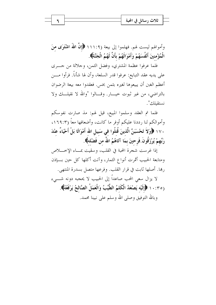وأموالهم ليست لهم. فهلموا إلى بيعة (١١١:٩ ﴿إِنَّ اللَّهُ اشْتَوَى مِنَ الْمُؤْمنينَ أَنْفُسَهُمْ وَأَمْوَالَهُمْ بِأَنَّ لَهُمُ الْجَنَّةَ﴾.

فلما عرفوا عظمة المشتري، وفضل الثمن، وجلالة من جسرى على يديه عقد التبايع: عرفوا قدر السلعة، وأن لها شأناً. فرأوا مـــن أعظم الغبن أن يبيعوها لغيره بثمن بخس. فعقدوا معه بيعة الرضوان بالتراضي، من غير ثبوت حيــــار. وقــــالوا "والله لا نقيلــــك ولا نستقىلك".

فلما تم العقد وسلموا المبيع، قيل لهم: مذ صارت نفوسكم وأموالكم لنا رددنا عليكم أوفر ما كانت، وأضعافها معاً (١٦٩:٣، ١٧٠ ﴿وَلاَ تَحْسَبَنَّ الَّذينَ قُتلُوا في سَبيلِ الله أَمْوَاتًا بَلْ أَحْيَاءٌ عنْدَ رَبِّهِمْ يُرْزَقُونَ فَرحينَ بمَا آتَاهُمُ اللَّهُ من فَضْله﴾.

إذا غرست شجرة المحبة في القلب، وسقيت بمساء الإخسلاص ومتابعة الحبيب أثمرت أنواع الثمار، وآتت أكلها كل حين بسإذن رِبِها. أصلها ثابت في قرار القلب. وفرعها متصل بسدرة المنتهي.

لا يزال سعى المحب صاعداً إلى الحبيب لا يحجبه دونه شـــيء (١٠:٣٥ ﴿إِلَيْهِ يَصْعَدُ الْكَلِمُ الطَّيِّبُ وَالْعَمَلُ الصَّالحُ يَرْفَعُهُ﴾. وبالله التوفيق وصلى الله وسلم على نبينا محمد.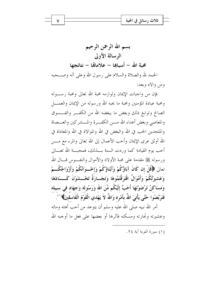بسم الله الرحمن الرحيم الرسالة الأولى محية الله – أسباها – علاماهّا – نتائحها الحمد لله والصلاة والسلام على رسول الله وعلى آله وصـــحبه ومن والاه وبعد:

فإن من واجبات الإيمان ولوازمه محبة الله تعالى ومحبة رســوله ومحبة عبادة المؤمنين ومحبة ما يحبه الله ورسوله من الإيمان والعمــــل الصالح وتوابع ذلك وبغض ما يبغضه الله من الكفـــر والفـــسوق والمعاصبي وبغض أعداء الله مسن الكفسرة والمسشر كين والعسصاة والملحدين الحب في الله والبغض في الله والموالاة في الله والمعاداة في الله أوثق عرى الإيمان وأحب الأعمال إلى الله تعالى والمرء مع مــــن أحب يوم القيامة كما وردت السنة بـــذلك، فمحبـــة الله تعـــالي ورسوله ﷺ مقدمة على محبة الأولاد والأموال والنف وس قـــال الله تعالى ﴿قُلْ إِن كَانَ آبَاؤُكُمْ وَأَبْنَاؤُكُمْ وَإِخْسِوَانُكُمْ وَأَزْوَاجُكُسِمْ وَعَشيرَتُكُمْ وَأَمْوَالٌ اقْتَرَفْتُمُوهَا وَتجَــارَةٌ تَخْــشَوْنَ كَــسَادَهَا وَمَسَاكِنُ تَرْضَوْنَهَا أَحَبَّ إِلَيْكُم مِّنَ الله وَرَسُولِه وَجهَاد في سَبيله فَتَرَبَّصُوا حَتَّى يَأْتيَ اللهُ بأَمْرِه وَاللهُ لاَ يَهْدي الْقَوْمَ الْفَاسقينَ﴾ ``. أمر الله نبيه صلى الله عليه وسلم أن يتوعد من أحب أهله وماله وعشيرته وتجارته ومسكنه فآثرها أو بعضها على فعل ما أوجبه الله

(١) سورة التوبة آية ٢٤.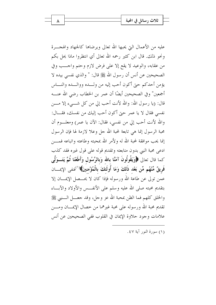عليه من الأعمال التي يحبها الله تعالى ويرضاها كالجهاد والهجـــرة ونحو ذلك. قال ابن كثير رحمه الله تعالى أي انتظروا ماذا يحل بكم من عقابه، والوعيد لا يقع إلا على فرض لازم وحتم واحــب وفي الصحيحين عن أنس أن رسول الله ﷺ قال: " والذي نفسي بيده لا يؤمن أحدكم حبيّ أكون أحب إليه من ولـــده ووالـــده والنـــاس أجمعين" و في الصحيحين أيضًا أن عمر بن الخطاب , ضي الله عنـــه قال: (يا رسول الله: والله لأنت أحب إلى من كل شـــيء إلا مــــن نفسي فقال لا يا عمر حتى أكون أحب إليك من نفسك، فقـــال: والله لأنت أحب إلى من نفسي، فقال: الآن يا عمر) ومعلــوم أن محبة الرسول إنما هي تابعة لمحبة الله حل وعلا لازمة لها فإن الرسول إنما يحب موافقة لمحبة الله له ولأمر الله بمحبته وطاعته واتباعه فمسن ادعى محبة النبي بدون متابعته وتقديم قوله على قول غيره فقد كذب كما قال تعالى ﴿وَيَقُولُونَ آمَنَّا بِالله وَبِالرَّسُولِ وَأَطَعْنَا ثُمَّ يَتَــوَلَّى فَرِيقٌ مِّنْهُم مِّن بَعْد ذَلكَ وَمَا أُولَئكَ بِالْمُؤْمِنينَ﴾ (''فنفي الإيمـــان عمن تولى عن طاعة الله ورسوله فإذا كان لا يحـــصل الإيمــــان إلا بتقديم محبته صلى الله عليه وسلم على الأنفــس والأولاد والآبـــاء والخلق كلهم فما الظن بمحبة الله عز وجل، وقد حعـــل الــــنبي ﷺ تقديم محبة الله ورسوله على محبة غيرهما من خصال الإيمــــان ومــــن علامات وجود حلاوة الإيمان في القلوب ففي الصحيحين عن أنس

(١) سورة النور آية ٤٧.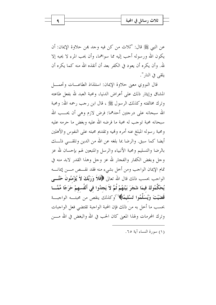عن النبي ﷺ قال: "ثلاث من كن فيه وجد بمن حلاوة الإيمان: أن يكون الله ورسوله أحب إليه مما سواهما، وأن يحب المرء لا يحبه إلا لله. وأن يكره أن يعود في الكفر بعد أن أنقذه الله منه كما يكره أن يلقى في النار ".

قال النووي معنى حلاوة الإيمان: استلذاذ الطاعسات وتحمسل المشاق وإيثار ذلك على أعراض الدنيا، ومحبة العبد لله بفعل طاعته وترك مخالفته وكذلك الرسول ﷺ ، قال ابن رجب رحمه الله: ومحبة الله سبحانه على درجتين أحدهما: فرض لازم وهي أن يحـــب الله سبحانه محبة توجب له محبة ما فرضه الله عليه وبغض ما حرمه عليه ومحبة رسوله المبلغ عنه أمره وفميه وتقديم محبته على النفوس والأهلين أيضا كما سبق. والرضا بما بلغه عن الله من الدين وتلقـــي ذلـــك بالرضا والتسليم ومحبة الأنبياء والرسل والمتبعين لهم بإحسان لله عز وجل وبغض الكفار والفجار لله عز وجل وهذا القدر لابد منه في تمام الإيمان الواجب ومن أخل بشيء منه فقد نقـــص مـــن إيمانــــه الواحب بحسب ذلك قال الله تعالى ﴿فَلاَ وَرَبِّكَ لاَ يُؤْمِنُونَ حَتَّـــى يُحَكِّمُوكَ فيمَا شَجَرَ بَيْنَهُمْ ثُمَّ لاَ يَجِدُوا في أَنْفُسهمْ حَرَجًا مِّمَّـــا قَضَيْتَ وَيُسَلِّمُوا تَسْلِيعًا﴾ (')وكذلك ينقص من محبتــه الواجبــة بحسب ما أحل به من ذلك فإن المحبة الواجبة تقتضي فعل الواجبات وترك المحرمات ولهذا المعيٰ كان الحب في الله والبغض في الله مــــن

(١) سورة النساء آية ٦٥.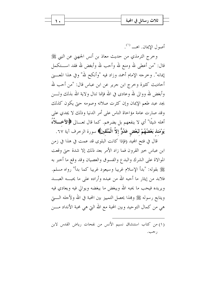|  | $\overline{\mathbf{a}}$<br>تلات رسانا |  |
|--|---------------------------------------|--|
|  | $\overline{a}$                        |  |
|  |                                       |  |

أصول الإيمان, اهــــ (').

وخرج الترمذي من حديث معاذ بن أنس الجهني عن النبي ﷺ قال: "من أعطي لله ومنع لله وأحب لله وأبغض لله فقد اســـتكمل إيمانه". وحرجه الإمام أحمد وزاد فيه "وأنكح لله" وفي هذا المعــــني أحاديث كثيرة وخرج ابن جرير عن ابن عباس قال: "من أحب لله وأبغض لله ووالي لله وعادي في الله فإنما تنال ولاية الله بذلك ولــــن يجد عبد طعم الإيمان وإن كثرت صلاته وصومه حبّ يكون كذلك وقد صارت عامة مؤاخاة الناس على أمر الدنيا وذلك لا يجدي على أهله شيئًا" أي لا ينفعهم بل يضرهم. كما قال تعـــالى ﴿الأخــــلاَّهُ يَوْمَئِذْ بَعْضُهُمْ لَبَعْضٍ عَدُوٌّ إلاَّ الْمُتَّقِينَ﴾ سورة الزخرف آية ٦٧.

قال في فتح المحيد (فإذا كانت البلوى قد عمت في هذا في زمن ابن عباس حير القرون فما زاد الأمر بعد ذلك إلا شدة حيّ وقعت الموالاة على الشرك والبدع والفسوق والعصيان وقد وقع ما أحبر به ﷺ بقوله: "بدأ الإسلام غريبا وسيعود غريبا كما بدأ" رواه مسلم. فلابد من إيثار ما أحبه الله من عبده وأراده على ما يحبسه العبسد ويريده فيحب ما يحبه الله ويبغض ما يبغضه ويوالي فيه ويعادي فيه ويتابع رسوله ﷺ وهمذا يحصل التمييز بين المحبة في الله ولأحله الـــــتي هي من كمال التوحيد وبين المحبة مع الله التي هي محبة الأنداد مــــن

(١) من كتاب استنشاق نسيم الأنس من نفحات رياض القدس لابن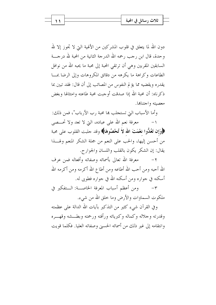|  | ، في المحبة<br>ثلاث رسائا |  |
|--|---------------------------|--|
|  | ъ.                        |  |
|  |                           |  |

دون الله لما يتعلق في قلوب المشركين من الألهية التي لا تجوز إلا لله وحدة، قال ابن رجب رحمه الله الدرجة الثانية من المحبة لله درجــــة السابقين المقربين وهي أن ترتقي المحبة إلى محبة ما يحبه الله من نوافل الطاعات وكراهة ما يكرهه من دقائق المكروهات وإلى الرضا بمسا يقدره ويقضيه مما يؤلم النفوس من المصائب إلى أن قال: فقد تبين بما ذكر ناه: أن محبة الله إذا صدقت أوجبت محبة طاعته وامتثالها وبغض معصيته واجتنابها.

وأما الأسباب التي تستجلب ها محبة رب الأرباب"، فمن ذلك:

معرفة نعم الله على عباده، التي لا تعد ولا تحـــصي  $-1$ ﴿وَإِن تَعُدُّوا نَعْمَتَ الله لاَ تُحْصُوهَا﴾ وقد حلبت القلوب على محبة من أحسن إليها، والحب على النعم من جملة الشكر المنعم ولهـــذا يقال: إن الشكر يكون بالقلب واللسان والجوارح.

معرفة الله تعالى بأسمائه وصفاته وأفعاله فمن عرف  $-\tau$ الله أحبه ومن أحب الله أطاعه ومن أطاع الله أكرمه ومن أكرمه الله أسكنه في جواره ومن أسكنه الله في جواره فطوبي له.

ومن أعظم أسباب المعرفة الخاصة: الـتفكير في  $-\tau$ ملكوت السماوات والأرض وما حلق الله من شيء.

وفي القرآن شيء كثير من التذكير بآيات الله الدالة على عظمته وقدرته وحلاله وكماله وكبريائه ورأفته ورحمته وبطسشه وقهب ه وانتقامه إلى غير ذلك من أسمائه الحسبي وصفاته العليا. فكلما قويت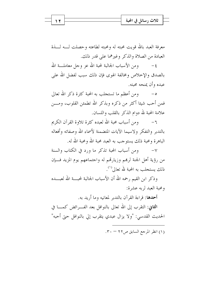|  | - 6,<br>$-1$<br>، انحبه<br>تلات           |  |
|--|-------------------------------------------|--|
|  | $\sim$ $\sim$<br>$\overline{\phantom{a}}$ |  |
|  |                                           |  |

معرفة العبد بالله قويت محبته له ومحبته لطاعته وحصلت لـــه لــــذة العبادة من الصلاة والذكر وغيرهما على قدر ذلك.

ومن الأسباب الجالبة لمحبة الله عز وجل معاملـــة الله  $-\xi$ بالصدق والإخلاص ومخالفة الهوى فإن ذلك سبب لفضل الله على عبده وأن يمنحه محبته.

ومن أعظم ما تستجلب به المحبة كثرة ذكر الله تعالى  $-\circ$ فمن أحب شيئا أكثر من ذكره وبذكر الله تطمئن القلوب، ومـــن علامة المحبة لله دوام الذكر بالقلب واللسان.

٦– ومن أسباب محبة الله لعبده كثرة تلاوة القرآن الكريم بالتدبر والتفكر ولاسيما الآيات المتضمنة لأسماء الله وصفاته وأفعاله الباهرة ومحية ذلك يستوجب به العيد محية الله ومحية الله له.

ومن أسباب المحبة تذكر ما ورد في الكتاب والسنة  $-\vee$ من رؤية أهل الجنة لرهم وزيارتهم له واحتماعهم يوم المزيد فــإن ذلك يستجلب به المحبة لله تعالى<sup>(١)</sup>.

وذكر ابن القيم رحمه الله أن الأسباب الجالبة لمحبسة الله لعبـــده ومحبة العبد لربه عشرة:

**أحدها:** قراءة القرآن بالتدبر لمعانيه وما أ<sub>ر</sub>يد به.

**الثاني**: التقرب إلى الله تعالى بالنوافل بعد الفــــرائض كمـــــا في الحديث القدسي: "ولا يزال عبدي يتقرب إلى بالنوافل حتى أحبه"

(١) انظر المرجع السابق ص٢٢ - ٣٠.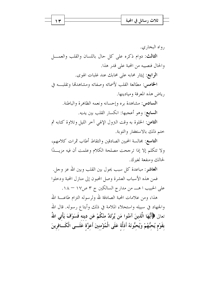|  | تلات              |  |
|--|-------------------|--|
|  | $\sim$ $\sim$<br> |  |
|  |                   |  |

, واه البخاري. الثالث: دوام ذكره على كل حال باللسان والقلب والعمـــل والحال فنصيبه من المحبة على قدر هذا. الرابع: إيثار محابه على محابك عند غلبات الهوى. الخامس: مطالعة القلب لأسمائه وصفاته ومشاهدتما وتقلبه في رياض هذه المعرفة وميادينها. **السادس:** مشاهدة بره وإحسانه ونعمه الظاهرة والباطنة. **السابع**: وهو أعجبها: انكسار القلب بين يديه. الثامن: الخلوة به وقت النزول الإلهي آخر الليل وتلاوة كتابه ثم ختم ذلك بالاستغفار والتوبة.

**التاسع:** مجالسة المحبين الصادقين والتقاط أطاب ثمرات كلامهم، ولا تتكلم إلا إذا ترجحت مصلحة الكلام وعلمت أن فيه مزيـــدًا لحالك ومنفعة لغيرك.

**العاشر** : مباعدة كل سبب يحول بين القلب وبين الله عز وجل. فمن هذه الأسباب العشرة وصل المحبون إلى منازل المحبة ودحلوا علي الحبيب ا هــــ من مدارج السالكين ج ٣ ص١٧ – ١٨.

هذا، ومن علامات المحبة الصادقة لله ولرسوله التزام طاعــــة الله والجهاد في سبيله واستحلاء الملامة في ذلك وأبتاع رسوله. قال الله تعالى ﴿أَيُّهَا الَّذينَ آمَنُوا مَن يَّرْتَدَّ منْكُمْ عَن دينه فَسَوْفَ يَأْتِي اللَّهُ بقَوْم يُحبُّهُمْ وَيُحبُّونَهُ أَذلَّة عَلَى الْمُؤْمنينَ أَعزَّة عَلَـــى الْكَـــافرينَ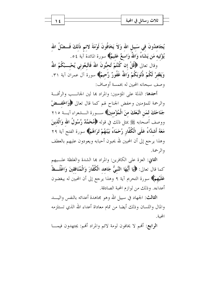|--|--|--|--|--|

يُجَاهدُونَ في سَبيلِ الله وَلاَ يَخَافُونَ لَوْمَةَ لائم ذَلكَ فَـــضْلُ الله يُؤْتيه مَن يَشَاءُ وَاللَّهُ وَاسعٌ عَليمٌ﴾ سورة المائدة آية ٥٤. وَقال تعالى ﴿قُلْ إِن كُنْتُمْ تُحبُّونَ اللَّهَ فَاتَّبِعُوني يُحْبِــبْكُمُ اللَّهُ

وَيَغْفِرْ لَكُمْ ذُنُوبَكُمْ وَاللَّهُ غَفُورٌ رَّحيمٌ﴾ سورة آل عمران آية ٣١. وصف سبحانه المحبين له بخمسة أوصاف:

أحدها: الذلة على المؤمنين: والمراد ها لين الجانـــب والرأفــة والرحمة للمؤمنين وخفض الجناح لهم كما قال تعالى ﴿وَاخْفِــضْ جَنَاحَكَ لمَن اتَّبَعَكَ منَ الْمُؤْمِنينَ﴾ ســـورة الـــشعراء آيـــة ٢١٥ ووصف أصحابه ﷺ بمثل ذلك في قوله ﴿مُعَحَمَّدٌ رَّسُولُ الله وَالَّذِينَ مَعَهُ أَشلَّاءُ عَلَى الْكُفَّارِ رُحَمَاءُ بَيْنَهُمْ تَرَاهُمْ﴾ سورة الفتح آية ٢٩ وهذا يرجع إلى أن المحبين لله يحبون أحبابه ويعودون عليهم بالعطف والرحمة.

الثاني: العزة على الكافرين: والمراد ها الشدة والغلظة علــيهم كما قال تعالى: ﴿إِيَا أَيُّهَا النَّبِيُّ جَاهِد الْكُفَّارَ وَالْمُنَافِقِينَ وَاغْلُــظْ عَلَيْهِمْ﴾ سورة التحريم آية ٩ وهذا يرجع إلى أن المحبين له يبغضون أعداءه. وذلك من لوازم المحبة الصادقة.

**الثالث**: الجهاد في سبيل الله وهو مجاهدة أعدائه بالنفس واليــــد والمال واللسان وذلك أيضا من تمام معاداة أعداء الله الذي تستلزمه المحية.

الرابع: ألهم لا يخافون لومة لائم والمراد ألهم: يجتهدون فيمـــا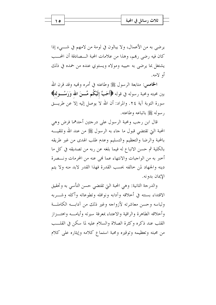يرضي به من الأعمال، ولا يبالون في لومة من لامهم في شـــيء إذا كان فيه رضي ربهم، وهذا من علامات المحبة الـــصادقة أن المحـــب يشتغل بما يرضى به حبيبه ومولاه ويستوى عنده من حمده في ذلك أو لامه.

**الخامس**: متابعة الرسول ﷺ وطاعته في أمره ونميه وقد قرن الله بين محبته ومحبة رسوله في قوله ﴿أَحَبَّ إِلَيْكُم مِّـــنَ الله وَرَسُـــولِه﴾ سورة التوبة آية ٢٤. والمراد: أن الله لا يوصل إليه إلا عن طريـــق , سوله ﷺ باتباعه وطاعته.

قال ابن رجب ومحبة الرسول على درجتين أحدهما فرض وهي المحبة التي تقتضي قبول ما جاء به الرسول ﷺ من عند الله وتلقيــــه بالمحبة والرضا والتعظيم والتسليم وعدم طلب الهدى من غير طريقه بالكلية ثم حسن الاتباع له فيما بلغه عن ربه من تصديقه في كل ما أخبر به من الواجبات والانتهاء عما فمي عنه من المحرمات ونـــصرة دينه والجهاد لمن حالفه بحسب القدرة فهذا القدر لابد منه ولا يتم الإيمان بدونه.

والدرجة الثانية: وهي المحبة التي تقتضي حسن التأسي به وتحقيق الاقتداء بسنته في أخلاقه وآدابه ونوافله وتطوعاته وأكله وشب به ولباسه وحسن معاشرته لأزواجه وغير ذلك من آدابسه الكاملسة وأحلاقه الطاهرة والراقية والاعتناء بمعرفة سيرته وأيامــه واهتــزاز القلب عند ذكره وكثرة الصلاة والسلام عليه لما سكن في القلسب من محبته وتعظيمه وتوقيره ومحبة استماع كلامه وإيثاره على كلام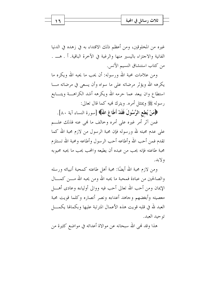|  | A<br>تلاب                    |  |
|--|------------------------------|--|
|  | $\overline{\phantom{a}}$<br> |  |
|  |                              |  |

غيره من المخلوقين، ومن أعظم ذلك الاقتداء به في زهده في الدنيا الفانية والاحتزاء باليسير منها والرغبة في الآخرة الباقية. أ . هــــ . من كتاب استنشاق النسيم الأنس.

ومن علامات محبة الله ورسوله: أن يحب ما يحبه الله ويكره ما يكرهه الله ويؤثر مرضاته على ما سواه وأن يسعى في مرضاته مـــا استطاع وان يبعد عما حرمه الله ويكرهه أشد الكراهــــة ويتــــابع رسوله ﷺ ويمتثل أمره. ويترك نميه كما قال تعالى:

﴿هَمَنْ يُطعِ الرَّسُولَ فَقَدْ أَطَاعَ اللَّهَ﴾ [سورة النساء آية ٨٠].

فمن آثر أمر غيره على أمره وخالف ما لهي عنه فذلك علـــم على عدم محبته لله ورسوله فإن محبة الرسول من لازم محبة الله كما تقدم فمن أحب الله وأطاعه أحب الرسول وأطاعه ومحبة الله تستلزم محبة طاعته فإنه يحب من عبده أن يطيعه والمحب يحب ما يحبه محبوبه ولابد.

ومن لازم محبة الله أيضًا: محبة أهل طاعته كمحبة أنبيائه ورسله والصالحين من عبادة فمحبة ما يحبه الله ومن يحبه الله مــــن كـمــــال الإيمان ومن أحب الله تعالى أحب فيه ووالى أولياءه وعادى أهـــل معصيته وأبغضهم وجاهد أعداءه ونصر أنصاره وكلما قويت محبة العبد لله في قلبه قويت هذه الأعمال المترتبة عليها وبكمالها يكمــــل توحيد العيد.

هذا وقد فمي الله سبحانه عن موالاة أعدائه في مواضع كثيرة من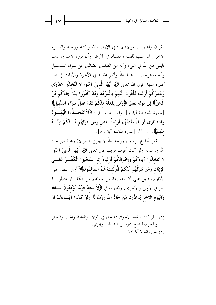القرآن وأحبر أن موالاقمم تنافي الإيمان بالله وكتبه ورسله واليبوم الآخر وألها سبب للفتنة والفساد في الأرض وأن من والاهم ووادهم فليس من الله في شيء وأنه من الظالمين الضالين عن سواء الــــسبيل وأنه مستوجب لسخط الله وأليم عقابه في الآخرة والآيات في هذا كثيرة منها: قول الله تعالى ﴿إِيَّا أَيُّهَا الَّذِينَ آمَنُوا لاَ تَتَّخذُوا عَدُوِّي وَعَدُوَّكُمْ أَوْلَيَاءَ تُلْقُونَ إِلَيْهِمْ بِالْمَوَدَّة وَقَدْ كَفَرُوا بِمَا جَاءَكُم مِّنَ الْحَقِّ﴾ إلى قوله تعالى ﴿وَمَن يَفْعَلْهُ مِنْكُمْ فَقَدْ ضَلَّ سَوَاءَ السَّبِيلِ﴾ [سورة الممتحنة آية ١]. وقولــه تعــالى: ﴿لاَ تَتَّخَـــٰذُوا الْيَهُـــودَ وَالنَّصَارَى أَوْلَيَاءَ بَعْضُهُمْ أَوْلَيَاءُ بَعْضٍ وَمَن يَتَوَلَّهُم مِّــنْكُمْ فَإِنَّـــهُ منْهُمْ﴾....) <sup>(١)</sup>. [سورة المائدة آية ٥١].

فَمَن أَطَاعِ الرَّسُولَ وَوَحَدَ الله لا يَجُوزُ لَهُ مَوَالاَةٍ وَمُحْبَةٍ مِنْ حَادَ الله ورسوله ولو كان أقرب قريب قال تعالى ﴿إِيَا أَيُّهَا الَّذِينَ آمَنُوا لاَ تَتَّخذُوا آبَاءَكُمْ وَإِحْوَانَكُمْ أَوْلَيَاءَ إن اسْتَحَبُّوا الْكُفْــرَ عَلَـــى الإيمَان وَمَن يَتَوَلَّهُم مِّنْكُمْ فَأُولَئكَ هُمُ الظَّالمُونَ﴾ (''وفي النص على الأقارب دليل على أن مصارمة من سواهم من الكف\ مطلوبة بطريق الأولى والأحرى. وقال تعالى ﴿لاَ تَجِعْدُ قَوْمًا يُؤْمِنُونَ بِسَالله وَالْيَوْمِ الآَخرِ يُوَادُّونَ مَنْ حَادَّ اللَّهَ وَرَسُولَهُ وَلَوْ كَانُوا آبَــاءَهُمْ أَوْ

(١) انظر كتاب تحفة الأخوان بما حاء في الموالاة والمعاداة والحب والبغض والهجران للشيخ حمود بن عبد الله التويجري. (٢) سورة التوبة آية ٢٣.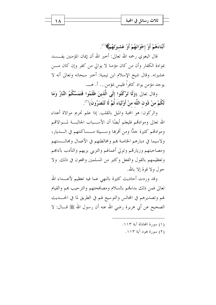| ثلاث رسائل في المحبة |  |
|----------------------|--|
|                      |  |

أَبْنَاءَهُمْ أَوْ إخْوَانَهُمْ أَوْ عَشْيَرَتَهُمْ﴾ ``.

قال البغوي رحمه الله تعالى: أخبر الله أن إيمان المؤمنين يفــــسد بموادة الكفار وأن من كان مؤمنا لا يوالي من كفر وإن كان مــــن عشيرته. وقال شيخ الإسلام ابن تيمية: أحبر سبحانه وتعالى أنه لا يوجد مؤمن يواد كافراً فليس بمؤمن… أ. هــــ.

وقال تعالى (وَلَا تَوْكُنُوا إِلَى الَّذِينَ ظَلَمُوا فَتَمَسَّكُمُ النَّارُ وَمَا لَكُمْ منْ دُون اللَّه منْ أَوْليَاءَ ثُمَّ لَا تُنْصَرُونَ(``.

والركون: هو المحبة والميل بالقلب. إذا علم تحريم موالاة أعداء الله تعالى وموادقم فليعلم أيضًا أن الأســباب الجالبـــة لمـــوالاقمم وموادقمم كثيرة جلًّا ومن أقرها وســيلة مـــساكنتهم في الــــديار، ولاسيما في ديارهم الخاصة بمم ومخالطتهم في الأعمال ومحالـــستهم ومصاحبتهم وزيارتهم وتولى أعمالهم والتزيى بزيهم والتأدب بآداهم وتعظيمهم بالقول والفعل وكثير من المسلمين واقعون في ذلك. ولا حول ولا قوة إلا بالله.

وقد وردت أحاديث كثيرة بالنهى عما فيه تعظيم لأعــــداء الله تعالى فمن ذلك بداءتهم بالسلام ومصافحتهم والترحيب بمم والقيام لهم وتصديرهم في المحالس والتوسيع لهم في الطريق لما في الحــــديث الصحيح عن أبي هريرة رضي الله عنه أن رسول الله ﷺ قـــال: لا

- (١) سورة المحادلة آية ١١٣.
	- (٢) سورة هود آية ١١٣.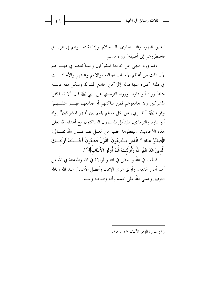|  | في المحبة<br>، سائا<br>تلات |  |
|--|-----------------------------|--|
|  | $\overline{\phantom{a}}$    |  |
|  |                             |  |

تبدءوا اليهود والنــصاري بالــسلام. وإذا لقيتمــوهـم في طريـــق فاضطروهم إلى أضيقه" رواه مسلم.

وقد ورد النهي عن مجامعة المشركين ومساكنتهم في ديسارهم لأن ذلك من أعظم الأسباب الجالبة لموالاقمم ومحبتهم والأحاديـــث في ذلك كثيرة منها قوله ﷺ "من جامع المشرك وسكن معه فإنــــه مثله" رواه أبو داود. ورواه الترمذي عن النبي ﷺ قال "لا تساكنوا المشركين ولا تجامعوهم فمن ساكنهم أو جامعهم فهـــو مثلـــهم" وقوله ﷺ "أنا بريء من كل مسلم يقيم بين أظهر المشركين" رواه أبو داود والترمذي. فليتأمل المسلمون الساكنون مع أعداء الله تعالى هذه الأحاديث وليعطوها حقها من العمل فقد قـــال الله تعـــالي: ﴿فَبَشِّرْ عِبَادٍ \* الَّذِينَ يَسْتَمِعُونَ الْقَوْلَ فَيَتَّبِعُونَ أَحْــسَنَهُ أُو لَئـــكَ الَّذينَ هَدَاهُمُ اللَّهُ وَأُو لَئِكَ هُمْ أُو لُو ۖ الأَلْبَابِ﴾ ۚ ``.

فالحب في الله والبغض في الله والموالاة في الله والمعاداة في الله من أهم أمور الدين، وأوثق عرى الإيمان وأفضل الأعمال عند الله وبالله التوفيق وصلى الله على محمد وآله وصحبه وسلم.

(١) سورة الزمر الآيتان ١٧، ١٨.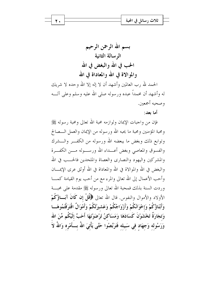ثلاث رسائل في المحبة

له وأشهد أن محمداً عبده ورسوله صلى الله عليه وسلم وعلى آلــه وصحبه أجمعين.

شر يك

أما بعد:

فإن من واحبات الإيمان ولوازمه محبة الله تعالى ومحبة رسوله ﷺ ومحبة المؤمنين ومحبة ما يحبه الله ورسوله من الإيمان والعمل الـــصالح وتوابع ذلك وبغض ما يبعضه الله ورسوله من الكفــر والـــشرك والفسوق والمعاصبي وبغض أعسداء الله ورسسوله مسن الكفيرة والمشركين واليهود والنصارى والعصاة والملحدين فالحـــب في الله والبغض في الله والموالاة في الله والمعاداة في الله أوثق عرى الإيمـــان وأحب الأعمال إلى الله تعالى والمرء مع من أحب يوم القيامة كمــــا وردت السنة بذلك فمحبة الله تعالى ورسوله ﷺ مقدمة على محبسة الأولاد والأموال والنفوس. قال الله تعالى ﴿قُلْ إِن كَانَ آبَسَاؤُكُمْ وَأَبْنَاؤُكُمْ وَإِخْوَانُكُمْ وَأَزْوَاجُكُمْ وَعَشيرَتُكُمْ وَأَمْوَالٌ اقْتَرَفْتُمُوهَــا وَتجَارَةٌ تَخْشَوْنَ كَسَادَهَا وَمَسَاكنُ تَرْضَوْنَهَا أَحَبَّ إِلَيْكُم مِّنَ الله وَرَسُوله وَجهَاد في سَبيله فَتَرَبَّصُوا حَتَّى يَأْتيَ اللهُ بِـــأَمْره وَاللهُ لاَ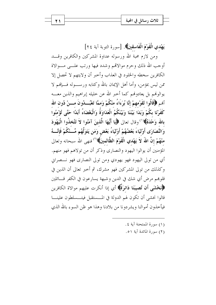يَهْدي الْقَوْمَ الْفَاسقينَ﴾. [سورة التوبة آية ٢٤]

ومن لازم محبة الله ورسوله عداوة المشركين والكافرين وقسد أوجب الله ذلك وحرم موالاقمم وشدد فيها ورتب علـــي مـــوالاة الكافرين سخطه والخلود في العذاب وأحبر أن ولايتهم لا تحصل إلا ممن ليس بمؤمن، وأما أهل الإيمان بالله وكتابه ورســـوله فــــإنهم لا يوالوهُم بل يعادوهُم كما أخبر الله عن خليله إبراهيم والذين معـــه أَمَم ﴿قَالُوا لقَوْمهمْ إِنَّا بُرَءَاءُ منْكُمْ وَممَّا تَعْبُـــدُونَ مــــنْ دُون الله كَفَرْنَا بِكُمْ وَبَدَا بَيْنَنَا وَبَيْنَكُمُ الْعَدَاوَةُ وَالْبَغْضَاءُ أَبَدًا حَتَّى تُؤْمِنُوا بِالله وَحْدَهُ﴾ `` وقال تعالى ﴿إِيَّا أَيُّهَا الَّذِينَ آمَنُوا لاَ تَتَّخذُوا الْيَهُودَ وَالنَّصَارَى أَوْلَيَاءَ بَعْضُهُمْ أَوْلَيَاءُ بَعْضٍ وَمَن يَتَوَلَّهُم مِّــنْكُمْ فَإِنَّـــهُ منْهُمْ إِنَّ اللَّهَ لاَ يَهْدي الْقَوْمَ الظَّالمينَ﴾(`` فنهى الله سبحانه وتعالى المؤمنين أن يوالوا اليهود والنصاري وذكر أن من تولاهم فهو منهم. أي من تولى اليهود فهو يهودي ومن تولى النصاري فهو نـــصراني وكذلك من تولى المشركين فهو مشرك، ثم أحبر تعالى أن الذين في قلوبهم مرض أي شك في الدين وشبهة يسارعون في الكفر قـــائلين ﴿فَلَخْشَى أَن تُصيبَنَا دَائِرَةٌ﴾ أي إذا أنكرت عليهم موالاة الكافرين قالوا نخشى أن تكون لهم الدولة في المـــستقبل فيتـــسلطون علينـــا فيأخذون أموالنا ويشردونا من بلادنا وهذا هو ظن السوء بالله الذي

- (١) سورة الممتحنة آية ٤.
- (٢) سورة المائدة آية ٥١.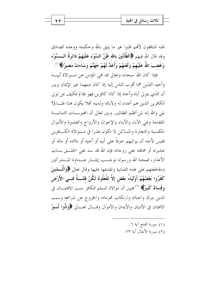ظنه المنافقون لأفمم ظنوا غير ما يليق بالله وحكمته ووعده الصادق وقد قال الله فيهم ﴿الظَّانِّينَ بِالله ظَنَّ السَّوْءِ عَلَيْهِمْ دَائِرَةُ الـــسَّوْءِ وَغَضبَ اللَّهُ عَلَيْهِمْ وَلَعَنَهُمْ وَأَعَدَّ لَهُمْ جَهَنَّمَ وَسَاءَتْ مَصيرًا﴾ ``.

فإذا كان الله سبحانه وتعالى قد نمى المؤمن عن مـــوالاة أبيــــه وأحيه اللذين هما أقرب الناس إليه إذا كان دينهما غير الإيمان وبين أن الذي يتولى أباه وأخاه إذا كانا كافرين فهو ظالم فكيف بمن تولى الكافرين الذين هم أعداء له ولآبائه ولدينه أفلا يكون هذا ظـــالم؟ بلي والله إنه لمن أظلم الظالمين. وبين تعالى أن المحبو بــــات الثمانيــــة المتقدمة وهي الآباء والأبناء والإخوان والأزواج والعشيرة والأموال المكتسبة والتجارة والمساكن لا تكون عذرا في مــوالاة الكـــافرين فليس لأحد أن يواليهم حوفاً على أبيه أو أحيه أو بلاده أو ماله أو عشيرته أو مخافته على زوجاته فإن الله قد سد على الخلسق بساب الأعذار، فمحبة الله ورسوله توحـــب إيثـــار عـــداوة المـــشركين ومقاطعتهم على هذه الثمانية وتقديمها عليها وقال تعالى ﴿وَالْمَسْلَمِينَ كَفَرُوا بَعْضُهُمْ أَوْلَيَاءُ بَعْضِ إلاَّ تَفْعَلُوهُ تَكُنْ فَتْنَـــةٌ فـــى الأَرْض وَفَسَادٌ كَبِيرٌ﴾ (`` فتبين أن موالاة المسلم للكافر سبب الافتتـــان في الدين بترك واجباته وارتكاب محرماته والخروج عن شرائعه وسبب الافتتان في الأديان والأبدان والأموال وقـــال تعـــالي ﴿وَدُّوا لَـــوْ

- (١) سورة الفتح آية ٦.
- (٢) سورة الأنفال آية ٧٣.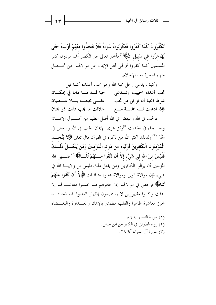تَكْفُرُونَ كَمَا كَفَرُوا فَتَكُونُونَ سَوَاءً فَلاَ تَتَّخذُوا منْهُمْ أَوْلِيَاءَ حَتَّى يُهَاجرُوا في سَبيل اللهُ﴾'''فأخبر تعالى عن الكفار أفمم يودون كفر المسلمين كما كفروا ثم فمي أهل الإيمان عن موالاقمم حتى تحـــصل منهم الهجرة بعد الإسلام.

وكيف يدعى رجل محبة الله وهو يحب أعداءه كما قيل: تحب أعداء الحبيب وتسدعي مسلم مسا ذاك في إمكـان شرط المحبة أن توافق من تجب \_\_\_\_ عليے محبته بسلا عسےبيان فإذا ادعيت له المحبسة مسع مسلحلافك ما يحب فأنت ذو بمتان

فالحب في الله والبغض في الله أصل عظيم من أصــــول الإيمــــان ولهذا جاء في الحديث "أوثق عرى الإيمان الحب في الله والبغض في الله" <sup>(٢)</sup> ولذلك أكثر الله من ذكره في القرآن قال تعالى ���� يَتَّخــــــذ الْمُؤْمِنُونَ الْكَافِرِينَ أَوْلَيَاءَ من دُون الْمُؤْمِنينَ وَمَن يَفْعَـــلْ ذَلـــكَ فَلَيْسَ منَ الله في شَيْء إلاَّ أَن تَتَّقُوا مـــنْهُمْ تُقَــاةً﴾ (") فنـــهى الله المؤمنين أن يوالوا الكافرين ومن يفعل ذلك فليس من ولايــــة الله في شيء فإن موالاة الولي وموالاة عدوه متنافيات ﴿إِلاَّ أَن تَتَّقُوا مِنْهُمْ تُقَاقُّهُ فرخص في موالاتمم إذا حافوهم فلم يحسنوا معاشــــرتمم إلا بذلك وكانوا مقهورين لا يستطيعون إظهار العداوة لهم فحينئــذ تجوز معاشرة ظاهرا والقلب مطمئن بالإيمان والعسداوة والبغسضاء

> (١) سورة النساء آية ٨٩. (٢) رواه الطبراني في الكبير عن ابن عباس. (٣) سورة آل عمران آية ٢٨.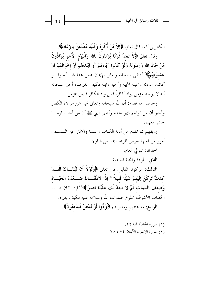للكافرين كما قال تعالى ﴿إِلاَّ مَنْ أُكْرِهَ وَقَلْبُهُ مُطْمَئِنٌّ بِالإِيمَانِ﴾. وقال تعالى ﴿لاَ تَجِدُ قَوْمًا يُؤْمِنُونَ بِالله وَالْيَوْمِ الآخرِ يُوَادُّونَ مَنْ حَادَّ اللَّهَ وَرَسُولَهُ وَلَوْ كَانُوا آبَاءَهُمْ أَوْ أَبْنَاءَهُمْ أَوْ إخْوَانَهُمْ أَوْ عَشيرَتَهُمْ﴾(``فنفي سبحانه وتعالى الإيمان عمن هذا شـــأنه ولـــو كانت مودته ومحبته لأبيه وأحيه وابنه فكيف بغيرهم، أحبر سبحانه أنه لا يوجد مؤمن يواد كافراً فمن واد الكافر فليس بمؤمن.

وحاصل ما تقدم: أن الله سبحانه وتعالى لهي عن موالاة الكفار وأخبر أن من توالهم فهو منهم وأخبر النبي ﷺ أن من أحب قومـــا حشر معهم.

(ويفهم مما تقدم من أدلة الكتاب والسنة والآثار عن الــسلف أمور من فعلها تعرض للوعيد بمسيس النار): أحدها: التولي العام.

الثاني: المودة والمحبة الخاصة.

الثالث: الركون القليل. قال تعالى ﴿وَلَوْلَا أَن تُبَّتْنَــاكَ لَقَـــدْ كدتَ تَرْكَنُ إِلَيْهِمْ شَيْئًا قَلِيلاً \* إِذًا لِأَذَقْنَــاكَ ضـــعْفَ الْحَيَــاة وَضعْفَ الْمَمَات ثُمَّ لاَ تَجِدُ لَكَ عَلَيْنَا نَصِيرًا﴾(`` فإذا كان هــــذا الخطاب الأشرف مخلوق صلوات الله وسلامه عليه فكيف بغيره. الرابع: مداهنتهم ومداراتهم ﴿وَدُّوا لَوْ تُلْهِنُ فَيُلْهَنُونَ﴾.

> (١) سورة المحادلة آية ٢٢. (٢) سورة الإسراء الآيتان ٧٤، ٧٥.

۲٤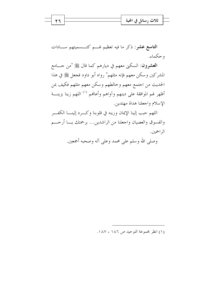|  | ں في '<br>احجبه<br>تلات رسانا ً |  |
|--|---------------------------------|--|
|  | $\overline{a}$                  |  |
|  |                                 |  |

**التاسع عشر**: ذكر ما فيه تعظيم لهـــم كتـــسميتهم ســــادات و حکماء.

ا**لعشرون**: السكني معهم في ديارهم كما قال ﷺ "من حـــامع المشركين وسكن معهم فإنه مثلهم" رواه أبو داود فجعل ﷺ في هذا الحديث من اجتمع معهم وخالطهم وسكن معهم مثلهم فكيف بمن أظهر لهم الموافقة على دينهم وآواهم وأعانهم <sup>(١)</sup> اللهم زينا بزينـــة الإسلام واجعلنا هداة مهتدين.

اللهم حبب إلينا الإيمان وزينه في قلوبنا وكسره إلينــــا الكفــــر والفسوق والعصيان واجعلنا من الراشدين... برحمتك يــا أرحـــم الراحمين.

وصلى الله وسلم على محمد وعلى آله وصحبه أجمعين.

(١) انظر مجموعة التوحيد ص ١٨٦، ١٨٧.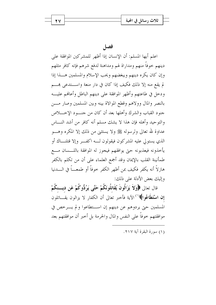اعلم أيها المسلم: أن الإنسان إذا أظهر للمشركين الموافقة على دينهم حوفاً منهم ومداراة لهم ومداهنة لدفع شرهم فإنه كافر مثلهم وإن كان يكره دينهم ويبغضهم ويحب الإسلام والمسلمين هـــذا إذا لم يقع منه إلا ذلك فكيف إذا كان في دار منعة واســـتدعى هِــــم ودحل في طاعتهم وأظهر الموافقة على دينهم الباطل وأعافهم عليه بالنصر والمال وولاهم وقطع الموالاة بينه وبين المسلمين وصار مسن جنود القباب والشرك وأهلها بعد أن كان من جنب د الاخسلاص والتوحيد وأهله فإن هذا لا يشك مسلم أنه كافر من أشد النساس عداوة لله تعالى ولرسوله ﷺ ولا يستثنى من ذلك إلا المكره وهــــو الذي يستولى عليه المشركون فيقولون لـــه اكفـــر وإلا قتلنـــاك أو يأحذونه فيعذبونه حتى يوافقهم فيجوز له الموافقة باللسسان مسع طمأنينة القلب بالإيمان وقد أجمع العلماء على أن من تكلم بالكفر هازِ لاَّ أنه يكفر فكيف بمن أظهر الكفر خوفاً أو طمعـــاً في الــــدنيا وإليك بعض الأدلة على ذلك:

قال تعالى ﴿وَلاَ يَزَالُونَ يُقَاتِلُونَكُمْ حَتَّى يَرُدُّوكُمْ عَنِ دِينِكُمْ **إن اسْتَطَاعُوا﴾** `` الآية فأخبر تعالى أن الكفار لا يزالون يقــــاتلون المسلمين حتى يردوهم عن دينهم إن استطاعوا ولم يسرحص في موافقتهم حوفاً على النفس والمال والحرمة بل أخبر أن موافقتهم بعد

(١) سورة البقرة آية ٢١٧.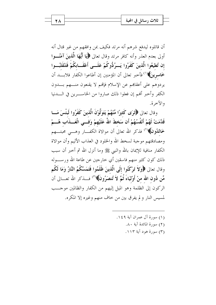أن قاتلوه ليدفع شرهم أنه مرتد فكيف بمن وافقهم من غير قتال أنه أولى بعدم العذر وأنه كافر مرتد وقال تعالى ﴿إِيَا أَيُّهَا الَّذِينَ آمَنُـــوا إن تُطيعُوا الَّذينَ كَفَرُوا يَسرُدُّوكُمْ عَلَـــى أَعْقَـــابكُمْ فَتَنْقَلبُـــوا خَا**سرينَ﴾**(`` فأخبر تعالى أن المؤمنين إن أطاعوا الكفار فلابـــد أن يردوهم على أعقاهم عن الإسلام فإلهم لا يقنعون منسهم بسدون الكفر وأحبر ألهم إن فعلوا ذلك صاروا من الخاســــرين في الـــــدنيا والآخرة.

وقال تعالى ﴿قُوَّى كَثِيرًا مِّنْهُمْ يَتَوَلَّوْنَ الَّذِينَ كَفَرُوا لَبِئْسَ مَسا قَدَّمَتْ لَهُمْ أَنْفُسُهُمْ أَن سَخطَ اللَّهُ عَلَيْهِمْ وَفسى الْعَسِذَابِ هُسِمْ خَاللُهُونَ﴾(``) فذكر الله تعالى أن موالاة الكفـــار وهــــى محبتــــهم ومصادقتهم موجبة لسخط الله والخلود في العذاب الأليم وأن موالاة الكفار منافية للإيمان بالله والنبي ﷺ وما أنزل الله ثم أحبر أن سبب ذلك كون كثير منهم فاسقين أي حارجين عن طاعة الله ورســــوله وقال تعالى ﴿وَلاَ تَرْكَنُوا إِلَى الَّذِينَ ظَلَمُوا فَتَمَسَّكُمُ النَّارُ وَمَا لَكُم مِّن دُون الله منْ أَوْليَاءَ ثُمَّ لاَ تُنصَرُونَ﴾(") فلذكر الله تعــالى أن الركون إلى الظلمة وهو الميل إليهم من الكفار والظالمين موحــب لمسيس النار ولم يفرق بين من حاف منهم وغيره إلا المكره.

> (١) سورة آل عمران آية ١٤٩. (٢) سورة المائدة آية ٨٠. (٣) سورة هود آية ١١٣.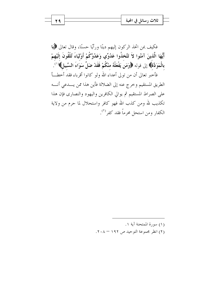فكيف بمن اتخذ الركون إليهم دينًا ورأيًا حسنًا، وقال تعالى ﴿إِيَا أَيُّهَا الَّذينَ آمَنُوا لاَ تَتَّخذُوا عَدُوِّي وَعَدُوَّكُمْ أَوْلَيَاءَ تُلْقُونَ إِلَيْهِمْ بِالْمَوَدَّةُ﴾ إلى قوله ﴿وَمَنۡ يَفۡعَلۡهُ منْكُمْ فَقَدْ ضَلَّ سَوَاءَ السَّبِيلِ﴾ ۚ ``

فأخبر تعالى أن من تولى أعداء الله ولو كانوا أقرباء فقد أخطـــأ الطريق المستقيم وحرج عنه إلى الضلالة فأين هذا ممن يـــدعى أنــــه على الصراط المستقيم ثم يوالي الكافرين واليهود والنصاري فإن هذا تكذيب لله ومن كذب الله فهو كافر واستحلال لما حرم من ولاية الكفار ومن استحل محرماً فقد كفر<sup>(٢)</sup>.

- (١) سورة الممتحنة آية ١.
- (٢) انظر مجموعة التوحيد ص ١٩٢ ٢٠٨.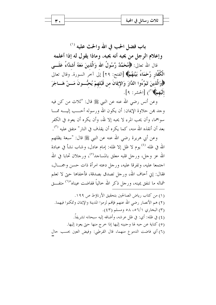باب فضل الحب في الله والحث عليه (') وإعلام الرجل من يحبه أنه يحبه، وماذا يقول له إذا أعلمه قال الله تعالى: ﴿ مُحَمَّلٌ رَّسُولُ الله وَالَّذِينَ مَعَهُ أَشِدَّاءُ عَلَـــى الْكُفَّارِ رُحَمَاءُ بَيْنَهُمْ﴾ [الفتح: ٢٩] إلى آخر السورة. وقال تعالى ﴿وَالَّذِينَ تَبَوَّءُوا الدَّارَ وَالإِيمَانَ من قَبْلهمْ يُحبُّـــونَ مَــــنْ هَـــاجَرَ إِلَيْهِمْ﴾ (") [الحشر: ٩].

وعن أنس رضي الله عنه عن النبي ﷺ قال: "ثلاث من كن فيه وجد بهن حلاوة الإيمان: أن يكون الله ورسوله أحـــب إليــــه ممـــا سواهما، وأن يحب المرء لا يحبه إلا لله، وأن يكره أن يعود في الكفر بعد أن أنقذه الله منه، كما يكره أن يقذف في النار " متفق عليه <sup>(٣)</sup>.

وعن أبي هريرة رضي الله عنه عن النبي ﷺ قال: "سبعة يظلهم الله في ظله <sup>(٤)</sup> يوم لا ظل إلا ظله: إمام عادل، وشاب نشأ في عبادة الله عز وجل، ورجل قلبه معلق بالمساجد<sup>(٥)</sup>، ورجلان تحابا في الله اجتمعا عليه، وتفرقا عليه، ورجل دعته امرأة ذات حسن وجمـــال، فقال: إين أحاف الله، ورجل تصدق بصدقة، فأخفاها حيّ لا تعلَّم شماله ما تنفق يمينه، ورجل ذكر الله حالياً ففاضت عيناه"<sup>٦)</sup> متفــق

(١) من كتاب رياض الصالحين بتحقيق الأرناؤط ص ١٩٩. (٢) هم الأنصار رضي الله عنهم فإلهم لزموا المدينة والإيمان وتمكنوا فيهما. (۳) البخاري ۶/۲۱، ۵۸ ومسلم (٤٣). (٤) في ظله: أي: في ظلِّ عرشه، وأضافه إليه سبحانه تشريفاً. (٥) كناية عن حبه لها وحنينه إليها إذا خرج منها حتى يعود إليها. (٦) أي فاضت الدموع منهما، قال القرطبي: وفيض العين بحسب حال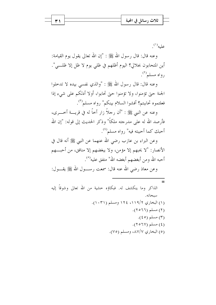|  | ثلاث رسائا<br>في المحبة  |  |
|--|--------------------------|--|
|  | $\overline{\phantom{a}}$ |  |
|  |                          |  |

 $\omega^{(1)}$ عليه

وعنه قال: قال رسول الله ﷺ : "إن الله تعالى يقول يوم القيامة: أين المتحابون بجلالي؟ اليوم أظلهم في ظلمي يوم لا ظل إلا ظلــــي". رواه مسلم (۲).

وعنه قال: قال رسول الله ﷺ : "والذي نفسي بيده لا تدخلوا الجنة حتى تؤمنوا، ولا تؤمنوا حتى تحابوا، أولا أدلكم على شيء إذا فعلتموه تحاببتم؟ أفشوا السلام بينكم" رواه مسلم<sup>(٣)</sup>.

وعنه عن النبي ﷺ : "أن رجلاً زار أخاً له في قريسة أخـــرى، فأرصد الله له على مدرجته ملكاً" وذكر الحديث إلى قوله: "إن الله أحبك كما أحببته فيه" رواه مسلم<sup>(٤)</sup>.

وعن البراء بن عازب رضي الله عنهما عن النبي ﷺ أنه قال في الأنصار: "لا يحبهم إلا مؤمن، ولا يبغضهم إلا منافق، من أحبـــهم أحبه الله ومن أبغضهم أبغضه الله" متفق عليه<sup>(٥)</sup>.

وعن معاذ رضي الله عنه قال: سمعت رســـول الله ﷺ يقـــول: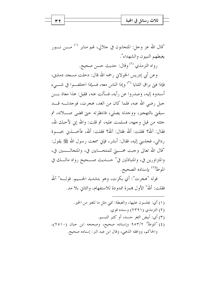

"قال الله عز وجل: المتحابون في جلالي، لهم منابر <sup>(١)</sup> مــــن نــــور يغبطهم النبيون والشهداء".

رواه الترمذي <sup>(٢)</sup> وقال: حديث حسن صحيح.

وعن أبي إدريس الخولاني رحمه الله قال: دخلت مسجد دمشق، فإذا فيّ براق الثنايا <sup>(٣)</sup> وإذا الناس معه، فــإذا اختلفــوا في شـــيء أسندوه إليه، وصدروا عن رأيه، فسألت عنه، فقيل: هذا معاذ بـــن جبل رضي الله عنه، فلما كان من الغد، هجرت، فوجدتـــه قــــد سبقين بالتهجير، ووجدته يصلي، فانتظرته حتى قضي صــــلاته، ثم حئته من قبل وجهه، فسلمت عليه، ثم قلت: والله إين لأحبك لله، فقال: آللهْ؟ فقلت: ألله فقال: آللهْ؟ فقلت: ألله، فأخــــذني بحبـــوة ردائي، فجذبني إليه، فقال: أبشر، فإني سمعت رسول الله ﷺ يقول: "قال الله تعالى وجبت محـــبيّ للمتحــــابين في، والمتجالــــسين في، والمتزاورين في، والمتباذلين في" حـــديث صـــحيح رواه مالـــك في الموطأ<sup>(٤)</sup> بإسناده الصحيح.

قوله "هجرت": أي بكرت، وهو بتشديد الجـــيم. قولـــه" آلله فقلت: أللهْ" الأول بممزة ممدودة للاستفهام، والثاني بلا مد.

(١) أي: يجلسون عليها، والغبطة: تمنى مثل ما للغير من الخير. (٢) الترمذي (٢٣٩١) وسنده قوى. (٣) أي: أبيض الثغر حسنه، أو كثير التبسم. (٤) "الموطأ" ٩٥٣/٢ وإسناده صحيح، وصححه ابن حبان (٢٥١٠)، والحاكم، ووافقه الذهبي، وقال ابن عبد البر: إسناده صحيح.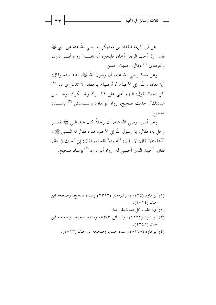ثلاث رسائل في المحبة

عن أبي كريمة المقداد بن معديكرب رضي الله عنه عن النبي ﷺ قال: "إذا أحب الرجل أحاه، فليخبره أنه يحبسه" رواه أبسو داود، والترمذي <sup>(١)</sup> وقال: حديث حسن.

وعن معاذ رضي الله عنه، أن رسول الله ﷺ، أحذ بيده وقال: "يا معاذ، والله، إني لأحبك ثم أوصيك يا معاذ: لا تدعن في دبر <sup>(٢)</sup> كل صلاة تقول: اللهم أعنى على ذكـرك وشــكرك، وحـــسن عبادتك". حديث صحيح، رواه أبو داود والنـــسائي <sup>(٣)</sup> بإســـناد صحيح.

وعن أنس، رضي الله عنه، أن رجلاً كان عند النبي ﷺ فمــــر رحل به، فقال: يا رسول الله إن لأحب هذا، فقال له الــــنبي ﷺ : "أأعلمته؟" قال: لا. قال: "أعلمته" فلحقه، فقال: إين أحبك في الله، فقال: أحبك الذي أحببتني له. رواه أبو داود <sup>(٤)</sup> بإسناد صحيح.

(۱) أبو داود (٥١٢٤)، والترمذي (٢٣٩٣) وسنده صحيح، وصححه ابن حبان (١٤٥٢). (٢) أي: عقب كل صلاة مفروضة. (٣) أبو داود (١٥٢٢)، والنسائي ٥٣/٣، وسنده صحيح، وصححه ابن حبان (٢٣٤٥). (٤) أبو داود (٥١٢٥) وسنده حسن، وصححه ابن حيان (٢٥١٣).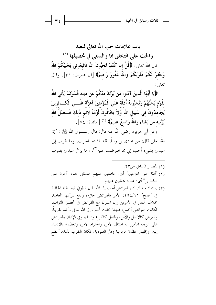باب علامات حب الله تعالى للعبد والحث على التخلق ها والسعى في تحصيلها (١) قال الله تعالى: ﴿قُلْ إِن كُنْتُمْ تُحبُّونَ اللَّهَ فَاتَّبِعُوني يُحْببْكُمُ اللَّهُ وَيَغْفِرْ لَكُمْ ذُنُوبَكُمْ وَاللَّهُ غَفُورٌ رَّحيمٌ﴾ [آل عمران: ٣١]، وقال تعالى:

﴿يَا أَيُّهَا الَّذِينَ آمَنُوا مَن يَّرْتَدَّ منْكُمْ عَن دينه فَسَوْفَ يَأْتِي اللَّهُ بقَوْم يُحبُّهُمْ وَيُحبُّونَهُ أَذلَّة عَلَى الْمُؤْمنينَ أَعزَّة عَلَـــى الْكَـــافرينَ يُجَاهدُونَ في سَبيلِ الله وَلاَ يَخَافُونَ لَوْمَةَ لائم ذَلكَ فَـــضْلُ الله يُؤْتِيهِ مَن يَشَاءُ وَاللَّهُ وَاسعٌ عَليمٌ﴾ (`` [المائدة: ¿٥].

وعن أبي هريرة رضي الله عنه قال: قال رســــول الله ﷺ : "إن الله تعالى قال: من عادى لي ولياً، فقد آذنته بالحرب، وما تقرب إلى عبدي بشيء أحب إلى مما افترضت عليه<sup>(٣)</sup>، وما يزال عبدي يقترب

- (٢) "أذلة على المؤمنين" أي: عاطفين عليهم متذللين لهم، "أعزة على الكافرين" أي: شداد متغلبين عليهم.
- (٣) يستفاد منه أن أداء الفرائض أحب إلى الله . قال الطوفي فيما نقله الحافظ في "الفتح" ٢٩٤/١١: الأمر بالفرائض حازم، ويقع بتركها المعاقبة، بخلاف النفل في الأمرين وإن اشترك مع الفرائض في تحصيل الثواب، فكانت الفرائض أكمل، فلهذا كانت أحب إلى الله تعالى وأشد تقريباً، والفرض كالأصل والأس، والنفل كالفرع والبناء، وفي الإتيان بالفرائض على الوحه المأمور به امتثال الأمر، واحترام الآمر، وتعظيمه بالانقياد إليه، وإظهار عظمة الربوبية وذل العبودية، فكان التقرب بذلك أعظم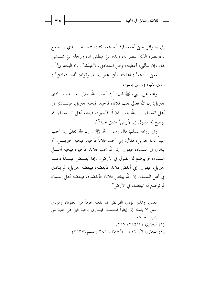إلى بالنوافل حتى أحبه، فإذا أحببته، كنت سمعـــه الــــذي يـــــسمع به،وبصره الذي يبصر به، ويده التي يبطش بما، ورحله التي يمسشي ها، وإن سألني، أعطيته، ولئن استعاذيي، لأعيذنه" رواه البخاري°′′.

معنى "آذنته" : أعلمته بأين محارب له. وقوله: "استعاذي" : روي بالباء وروي بالنون.

وعنه عن النبي، ﷺ قال: "إذا أحب الله تعالى العبـــد، نــــادي جبريل: إن الله تعالى يحب فلاناً، فأحبه، فيحبه جبريل، فينــــادي في أهل السماء: إن الله يحب فلاناً، فأحبوه، فيحبه أهل الـــسماء، ثم يوضع له القبول في الأرض" متفق عليه<sup>(٢)</sup>.

وفي رواية لمسلم: قال رسول الله ﷺ : "إن الله تعالى إذا أحب عبداً دعا جبريل، فقال: إين أحب فلاناً فأحبه، فيحبه جبريـــــل، ثم ينادي في السماء، فيقول: إن الله يحب فلاناً، فأحبوه فيحبه أهــــ| السماء، ثم يوضع له القبول في الأرض، وإذا أبغــض عبـــداً دعــــا جبريل، فيقول: إني أبغض فلانا، فأبغضه، فيبغضه جبريل، ثم ينادي في أهل السماء، إن الله يبغض فلانا، فأبغضوه، فيبغضه أهل السماء ثم توضع له البغضاء في الأرض".

ه ۳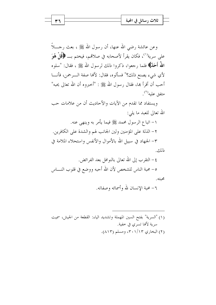| ₩ | e<br>ولأرب ويسافل        |  |
|---|--------------------------|--|
|   | $\overline{\phantom{a}}$ |  |
|   |                          |  |

وعن عائشة رضي الله عنها، أن رسول الله ﷺ ، بعث رجــــلاً على سرية<sup>(١)</sup>، فكان يقرأ لأصحابه في صلاتمم، فيختم بــــ ﴿قُلْ هُوَ اللَّهُ أَحَلَّـٰ﴾ فلما رجعوا، ذكروا ذلك لرسول الله ﷺ ، فقال: "سلوه لأي شيء يصنع ذلك؟" فسألوه، فقال: لألها صفة الـــرحمن، فأنـــا أحب أن أقرأ بما، فقال رسول الله ﷺ : "أخبروه أن الله تعالى يحبه" متفق عليه<sup>(٢)</sup>.

ويستفاد مما تقدم من الآيات والأحاديث أن من علامات حب الله تعالى للعبد ما يلي:

١– اتباع الرسول محمد ﷺ فيما يأمر به وينهي عنه. ٢- الذلة على المؤمنين ولين الجانب لهم والشدة على الكافرين. ٣- الجهاد في سبيل الله بالأموال والأنفس واستحلاء الملامة في ذلك.

٦- محبة الإنسان لله وأسمائه وصفاته.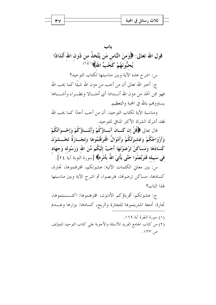|  | تلات                                  |  |
|--|---------------------------------------|--|
|  | $\sim$ $\sim$<br>$\ddot{\phantom{0}}$ |  |
|  |                                       |  |

قول الله تعالى: ﴿وَمنَ النَّاسِ مَن يَتَّخذُ من دُون الله أَنْدَادًا يُحبُّونَهُمْ كَخُبٍّ اللهِ﴾ ('<sup>)(٢)</sup> س: اشرح هذه الآية وبين مناسبتها لكتاب التوحيد؟ ج: أخبر الله تعالى أن من أحب من دون الله شيئًا كما يحب الله

فهو ممن اتخذ من دون الله أنـــدادا أي أمثـــالا ونظـــراء وأشـــباها يساووفمم بالله في المحبة والتعظيم.

ومناسبة الآية لكتاب التوحيد: أن من أحب أحدًا كما يحب الله فقد أشرك الشرك الأكبر المنافي للتوحيد.

قال تعالى ﴿قُلْ إِن كَــانَ آبَــاؤُكُمْ وَأَبْنَــاؤُكُمْ وَإِخْــوَانُكُمْ وَأَزْوَاجُكُمْ وَعَشيرَتُكُمْ وَأَمْوَالٌ اقْتَرَفْتُمُوهَا وَتجَــارَةٌ تَخْــشَوْنَ كَسَادَهَا وَمَسَاكنُ تَرْضَوْنَهَا أَحَبَّ إِلَيْكُم مِّنَ الله وَرَسُولِه وَجهَاد في سَبِيله فَتَرَبَّصُوا حَتَّى يَأْتِيَ اللهُ بأَمْرِهِ﴾ [سورة التوبة آية ٢٤].

س: بين معاني الكلمات الآتية: عشيرتكم، اقترفتموها، تجارة، كسادها، مساكن ترضوها، فتربصوا، ثم اشرح الآية وبين مناسبتها لهذا الباب؟

ج: عشيرتكم: أقرباؤكم الأدنون، اقترفتموها: اكتـــسبتموها، تحارة: أمتعة اشتريتموها للتجارة والربح، كسادها: بوارها وعـــدم

- (١) سورة البقرة آية ١٦٩.
- (٢) من كتاب الجامع الفريد للأسئلة والأجوبة على كتاب التوحيد للمؤلف ص ۲۳.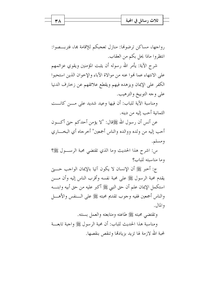|  | حبه<br>تلات رسانا        |  |
|--|--------------------------|--|
|  | $\overline{\phantom{a}}$ |  |
|  |                          |  |

رواجها، مساكن ترضوها: منازل تعجبكم للإقامة بما، فتربَّـــصوا: انتظروا ماذا يحل بكم من العقاب.

شرح الآية: يأمر الله رسوله أن يثبت المؤمنين ويقوي عزائمهم على الانتهاء عما فموا عنه من موالاة الآباء والإخوان الذين استحبوا الكفر على الإيمان ويزهده فيهم ويقطع علائقهم عن زخارف الدنيا على وجه التوبيخ والترهيب.

ومناسبة الآية للباب: أن فيها وعيد شديد على مـــن كانـــت الثمانية أحب إليه من دينه.

عن أنس أن رسول الله ﷺقال: "لا يؤمن أحدكم حتى أكـــون أحب إليه من ولده ووالده والناس أجمعين" أحرحاه أي البخـــاري ومسلم.

س: اشرح هذا الحديث وما الذي تقتضي محبة الرســـول ﷺ؟ وما مناسبته للباب؟

ج: أحبر ﷺ أن الإنسان لا يكون آتيا بالإيمان الواحب حـــــتي يقدم محبة الرسول ﷺ على محبة نفسه وأقرب الناس إليه وأن مــــن استكمل الإيمان علم أن حق النبي ﷺ أكبر عليه من حق أبيه وابنــــه والناس أجمعين ففيه وجوب تقديم محبته ﷺ على السنفس والأهسل والمال.

وتقتضى محبته ﷺ طاعته ومتابعته والعمل بسنته.

ومناسبة هذا الحديث للباب: أن محبة الرسول ﷺ واجبة تابعـــة لمحبة الله لازمة لها تزيد بزيادتما وتنقص بنقصها.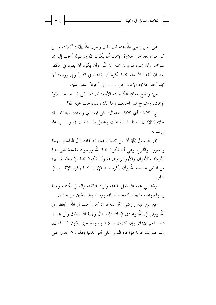| Δ                         |  |
|---------------------------|--|
| ∼<br>$\ddot{\phantom{0}}$ |  |

عن أنس رضي الله عنه قال: قال رسول الله ﷺ : "ثلاث مــــن كن فيه وجد همن حلاوة الإيمان أن يكون الله ورسوله أحب إليه مما سواهما وأن يحب المرء لا يحبه إلا لله، وأن يكره أن يعود في الكفر بعد أن أنقذه الله منه كما يكره أن يقذف في النار" وفي رواية: "لا يجد أحد حلاوة الإيمان حتى ….. إلى آخره" متفق عليه.

س: وضح معاني الكلمات الآتية: ثلاث، كن فيسه، حـــلاوة الإيمان، واشرح هذا الحديث وما الذي تستوجب محبة الله؟

ج: ثلاث: أي ثلاث خصال، كن فيه: أي وجدت فيه تامـــة، حلاوة الإيمان: استلذاذ الطاعات وتحمل المـــشقات في رضــــي الله و ر سوله.

يخبر الرسول ﷺ أن من اتصف هذه الصفات نال اللذة والبهجة والسرور والفرح وهي أن تكون محبة الله ورسوله مقدمة على محبة الأولاد والأموال والأزواج وغيرها وأن تكون محبة الإنسان لغسيره من الناس خالصة لله وأن يكره ضد الإيمان كما يكره الإلقـــاء في النار .

وتقتضي محبة الله فعل طاعته وترك مخالفته والعمل بكتابه وسنة ر سوله ومحبة ما يحبه كمحبة أنبيائه ورسله والصالحين من عباده.

عن ابن عباس رضي الله عنه قال: "من أحب في الله وأبغض في الله ووالي في الله وعادي في الله فإنما تنال ولاية الله بذلك ولن يجــــد عبد طعم الإيمان وإن كثرت صلاته وصومه حتى يكون كـــذلك. وقد صارت عامة مؤاخاة الناس على أمر الدنيا وذلك لا يجدي على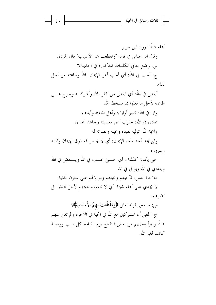|  | تلات                                      |  |
|--|-------------------------------------------|--|
|  | $\sim$ $\sim$<br>$\overline{\phantom{a}}$ |  |
|  |                                           |  |

أهله شيئًا" رواه ابن جرير. وقال ابن عباس في قوله "وتقطعت هم الأسباب" قال المودة. س: وضع معاني الكلمات المذكورة في الحديث؟ ج: أحب في الله: أي أحب أهل الإيمان بالله وطاعته من أحل ذلك.

أبغض في الله: أي ابغض من كفر بالله وأشرك به وحرج عــــن طاعته لأجل ما فعلوا مما يسخط الله. والى في الله: نصر أولياءه وأهل طاعته وأيدهم. عادي في الله: حارب أهل معصيته وجاهد أعداءه. ولاية الله: توليه لعبده ومحبته ونصرته له. ولن يجد أحد طعم الإيمان: أي لا يحصل له ذوق الإيمان ولذته و سروره.

حتى يكون كذلك: أي حــــتي يحــــب في الله ويــــبغض في الله ويعادي في الله ويوالي في الله.

مؤاخاة الناس: تأخيهم ومحبتهم وموالاقمم على شئون الدنيا. لا يجدي على أهله شيئا: أي لا تنفعهم محبتهم لأحل الدنيا بل تضرهم.

س: ما معنى قوله تعالى ﴿وَتَقَطَّعَتْ بِهِمُ الأَسْبَابُ﴾؟ ج: المعنى أن المشركين مع الله في المحبة في الآخرة و لم تغن عنهم شيئًا وتبرأ بعضهم من بعض فينقطع يوم القيامة كل سبب ووسيلة كانت لغير الله.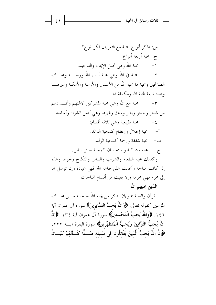ثلاث رسائل في المحبة ٤١

س: اذكر أنواع المحبة مع التعريف لكل نوع؟ ج: المحبة أربعة أنواع: محبة الله وهي أصل الإيمان والتوحيد.  $-1$ المحبة في الله وهي محبة أنبياء الله ورســــله وعبــــاده  $-\tau$ الصالحين ومحبة ما يحبه الله من الأعمال والأزمنة والأمكنة وغيرهــــا وهذه تابعة لمحبة الله ومكملة لها.

محبة مع الله وهي محبة المشركين لآلهتهم وأنــــدادهم  $-\tau$ من شجر وحجر وبشر وملك وغيرها وهي أصل الشرك وأساسه. محبة طبيعية وهي ثلاثة أقسام:  $-\xi$ أ– محبة إجلال وإعظام كمحبة الوالد. ب– محبة شفقة ورحمة كمحبة الولد. ج- محبة مشاكلة واستحسان كمحبة سائر الناس. وكذلك محبة الطعام والشراب واللباس والنكاح ونحوها وهذه

إذا كانت مباحة وأعانت على طاعة الله فهي عبادة وإن توسل هما إلى محرم فهي محرمة وإلا بقيت من أقسام المباحات. الذين يحبهم الله:

القرآن والسنة مملوءان بذكر من يحبه الله سبحانه مــــن عبــــاده المؤمنين كقوله تعالى: ﴿وَاللَّهُ يُحبُّ الصَّابِرِينَ﴾ سورة آل عمران آية ١٤٦. ﴿وَاللَّهُ يُحبُّ الْمُحْسنينَ﴾ سورة آل عمران آية ١٣٤. ﴿إِنَّ اللَّهَ يُحبُّ التَّوَّابينَ وَيُحبُّ الْمُتَطَهِّرِينَ﴾ سورة البقرة آيــــة ٢٢٢. ﴿إِنَّ اللّهَ يُحبُّ الَّذينَ يُقَاتِلُونَ في سَبِيله صَــفًّا كَــأَنَّهُمْ بُنْيَــانٌ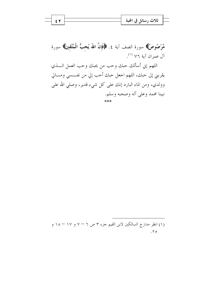|  | ، في المحبة<br>تلات رسانا |  |
|--|---------------------------|--|
|  | ъ.                        |  |
|  |                           |  |

مَّرْصُوصٌ﴾ سورة الصف آية ٤. ﴿فَإِنَّ اللَّهَ يُحبُّ الْمُتَّقِينَ﴾ سورة آل عمران آية ٧٦ <sup>(١)</sup>.

اللهم إني أسألك حبك وحب من يحبك وحب العمل السذي يقربني إلى حبك، اللهم اجعل حبك أحب إلي من نفــــسي ومــــالي وولدي، ومن الماء البارد إنك على كل شيء قدير، وصلى الله على نبينا محمد وعلى آله وصحبه وسلم.

(۱) انظر مدارج السالكين لابن القيم جزء ٣ ص ٦ – ٧ و ١٧ – ١٨ و  $.70$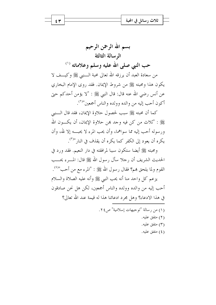بسم الله الرحمن الرحيم الرسالة الثالثة حب النبي صلى الله عليه وسلم وعلاماته (١) من سعادة العبد أن يرزقه الله تعالى محبة الــــنبي ﷺ وكيـــف لا يكون هذا ومحبته ﷺ من شروط الإيمان. فقد روى الإمام البخاري عن أنس رضي الله عنه قال: قال النبي ﷺ : "لا يؤمن أحدكم حيّ أكون أحب إليه من والده وولده والناس أجمعين"<sup>(٢)</sup>.

كما أن محبته ﷺ سبب لحصول حلاوة الإيمان، فقد قال الــــنبي عِلِيٌّ : "ثلاث من كن فيه وحد بمن حلاوة الإيمان، أن يكـــون الله ورسوله أحب إليه مما سواهما، وأن يحب المرء لا يحبـــه إلا لله، وأن يكره أن يعود إلى الكفر كما يكره أن يقذف في النار "<sup>(٣)</sup>.

ومحبته ﷺ أيضا ستكون سببا لمرافقته في دار النعيم. فقد ورد في الحديث الشريف أن رجلا سأل رسول الله ﷺ قال: المـــرء يحـــب القوم ولما يلحق هم؟ فقال رسول الله ﷺ : "المرء مع من أحب"<sup>(٤)</sup>.

يزعم كل واحد منا أنه يحب النبي ﷺ وأنه عليه الصلاة والسلام أحب إليه من والده وولده والناس أجمعين، لكن هل نحن صادقون في هذا الادعاء؟ وهل مجرد ادعائنا هذا له قيمة عند الله تعالى؟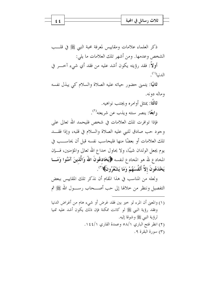|  | ل في المحبة<br>ثلاث رسائا |  |
|--|---------------------------|--|
|  | ъ.                        |  |
|  |                           |  |

ذكر العلماء علامات ومقاييس لمعرفة محبة النبي ﷺ في قلـــب الشخص وعدمها. ومن أشهر تلك العلامات ما يلي: أولاً: فقد رؤيته يكون أشد عليه من فقد أي شيء آخـــر في الدنيا<sup>(١)</sup>.

ثانيًا: يتمنى حضور حياته عليه الصلاة والسلام كي يبذل نفسه وماله دونه.

> ثالثًا: يمتثل أوامره ويجتنب نواهيه. **( ابعًا:** ينصر سنته ويذب عن شريعته<sup>(٢)</sup>.

فإذا توافرت تلك العلامات في شخص فليحمد الله تعالى على وجود حب صادق للنبي عليه الصلاة والسلام في قلبه، وإذا فقـــد تلك العلامات أو بعضًا منها فليحاسب نفسه قبل أن يحاســـب في يوم يجعل الولدان شيبًا، ولا يحاول حداع الله تعالى والمؤمنين، فـــإن المخادع لله هو المخادع لنفسه ﴿يُخَادِعُونَ اللَّهَ وَالَّذِينَ آمَنُوا وَمَـــا يَخْدَعُونَ إِلاَّ أَنْفُسَهُمْ وَمَا يَشْعُرُونَ﴾( ٚ").

ولعله من المناسب في هذا المقام أن نذكر تلك المقاييس ببعض التفصيل وننظر من خلالها إلى حب أصــــحاب رســــول الله ﷺ ثم

(١) والمعنى أن المرء لو خير بين فقد غرض أو شيء هام من أغراض الدنيا وفقد رؤية النبي ﷺ لو كانت ممكنة فإن ذلك يكون أشد عليه تمنيا لرؤية النبي ﷺ وشوقا إليه. (٢) انظر فتح الباري ٥٨/١ وعمدة القاري ١٤٤/١. (٣) سورة البقرة ٩.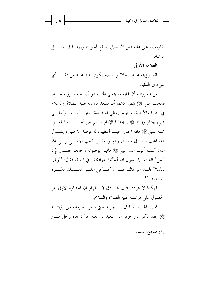| ↗<br>$\overline{\phantom{a}}$<br> |  |
|-----------------------------------|--|

نقارنه بما نحن عليه لعل الله تعالى يصلح أحوالنا ويهدينا إلى ســــبيل الر شاد.

العلامة الأولى:

فقد رؤيته عليه الصلاة والسلام يكون أشد عليه من فقــد أي شيء في الدنيا:

من المعروف أن غاية ما يتمين المحب هو أن يسعد برؤية حبيبه، فمحب النبي ﷺ يتمنى دائما أن يسعد برؤيته عليه الصلاة والسلام في الدنيا والآخرة، وحينما يعطي له فرصة احتيار أحـــب وأغلـــي شيء يختار رؤيته ﷺ ، يحدثنا الإمام مسلم عن أحد الـــصادقين في محبته للنبي ﷺ ماذا اختار حينما أعطيت له فرصة الاختيار، يقـــول هذا المحب الصادق بنفسه، وهو ربيعة بن كعب الأسلمي رضي الله عنه: كنت أبيت عند النبي ﷺ فأتيته بوضوئه وحاجته فقــال لي: "سل" فقلت: يا رسول الله أسألك مرافقتك في الجنة، فقال: "أوغير ذلك؟" قلت: هو ذاك، قـــال: "فـــأعنى علـــي نفـــسك بكثـــرة السجود"(١).

فهكذا لا يتردد المحب الصادق في إظهار أن اختياره الأول هو الحصول على مرافقته عليه الصلاة والسلام.

ثم إن المحب الصادق ... يحزنه حبيّ تصور حرمانه من رؤيته ﷺ. فقد ذكر ابن جرير عن سعيد بن جبير قال: جاء رجل مــــن

 $69$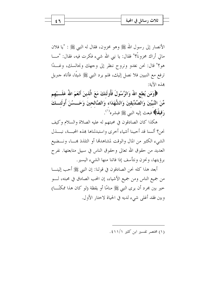| $\overline{1}$<br>ثلاث رسائل في المحبة |  |
|----------------------------------------|--|
|----------------------------------------|--|

الأنصار إلى رسول الله ﷺ وهو محزون، فقال له النبي ﷺ : "يا فلان مالي أراك محزوناً؟" فقال: يا نبي الله شيء فكرت فيه، فقال: "مـــا هو؟" قال: نحن نغدو ونروح ننظر إلى وجهك ونجالسك، وغــدًا ترفع مع النبيين فلا نصل إليك، فلم يرد النبي ﷺ شيئًا، فأتاه جبريل بِمَذْهِ الآية:

﴿وَمَن يُطعِ اللَّهَ وَالرَّسُولَ فَأُولَئِكَ مَعَ الَّذِينَ أَنْعَمَ اللَّهُ عَلَـــيْهِم مِّنَ النَّبِيِّينَ وَالصِّدِّيقِينَ وَالشُّهَدَاء وَالصَّالحينَ وَحَــسُنَ أُولَئـــكَ رَفيقًا﴾ فبعث إليه النبي ﷺ فبشره<sup>(١</sup>).

هكذا كان الصادقون في محبتهم له عليه الصلاة والسلام وكيف نحن؟ ألسنا قد أحببنا أشياء أخرى واستبدلناها هذه المجسة، نبسذل الشيء الكثير من المال والوقت لمشاهدها أو التلذذ بمسـا، ونـــضيع العديد من حقوق الله تعالى وحقوق الناس في سبيل متابعتها. نفرح برؤيتها، ونحزن ونتأسف إذا فاتنا منها الشيء اليسير .

أبعد هذا كله نحن الصادقون في قولنا: إن النبي ﷺ أحب إلينــــا من جميع الناس ومن جميع الأشياء، إن المحب الصادق في محبته، لــــو خير بين محرد أن يرى النبي ﷺ منامًا أو يقظة (لو كان هذا ممكنًـــا) وبين فقد أغلمي شيء لديه في الحياة لاحتار الأول.

(۱) مختصر تفسیر این کثیر ۱/۱/۱.

٤٦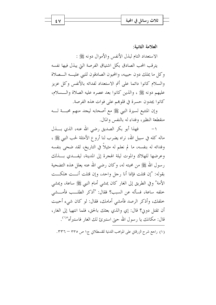| ں ر<br>$\overline{\phantom{a}}$ |  |
|---------------------------------|--|
|                                 |  |

٤V

العلامة الثانية:

الاستعداد التام لبذل الأنفس والأموال دونه ﷺ :

يترقب المحب الصادق بكل اشتياق الفرصة التي يبذل فيها نفسه وكل ما يملك دون حبيبه، والمحبون الصادقون للنبي عليـــه الـــصلاة والسلام كانوا دائما على أتم الاستعداد لفدائه بالأنفس وكل عزيز عليهم دونه ﷺ ، والذين كانوا بعد عصره عليه الصلاة والـــسلام، كانوا يجدون حسرة في قلوهم على فوات هذه الفرصة.

وإن المتتبع لسيرة النبي ﷺ مع أصحابه ليجد منهم محبسة لسه منقطعة النظير، وفداء له بالنفس والمال.

١ – فهذا أبو بكر الصديق رضى الله عنه، الذي بـــذل ماله كله في سبيل الله، نراه يضرب لنا أروع الأمثلة لحب النبي ﷺ ، وفدائه له بنفسه، ما لم نعلم له مثيلاً في التاريخ، لقد ضحى بنفسه وعرضها للهلاك والموت ليلة الهجرة إلى المدينة، ليفــدى بــذلك رسول الله ﷺ من محبته له، وكان رضي الله عنه يعلل هذه التضحية بقوله: "إن قتلت فإنما أنا رحل واحد، وإن قتلت أنست هلكست الأمة" وفي الطريق إلى الغار كان يمشى أمام النبي ﷺ ساعة، ويمشى خلفه ساعة، فسأله عن السبب؟ فقال: "أذكر الطلــب فأمـــشي خلفك، وأذكر الرصد فأمشى أمامك، فقال: لو كان شيء أحببت أن تقتل دون؟ قال: إي والذي بعثك بالحق، فلما انتهيا إلى الغار، قال: مكانك يا رسول الله حتى استبرئ لك الغار فاستبرأه"<sup>(۱)</sup>.

(١) راجع شرح الزرقاني على المواهب اللدنية للقسطلاني ج١ ص ٣٣٥ – ٣٣٦.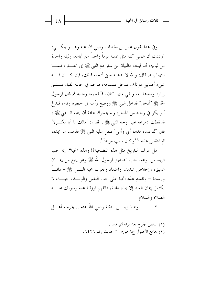وفي هذا يقول عمر بن الخطاب رضي الله عنه وهـــو يبكـــي: "وددت أن عملي كله مثل عمله يوماً واحداً من أيامه، وليلة واحدة من لياليه، أما ليلته، فالليلة التي سارٍ مع النبي ﷺ إلى الغــــار، فلمـــــا انتهيا إليه، قال: والله لا تدخله حتى أدخله قبلك، فإن كـــان فيــــه شيءِ أصابين دونك، فدخل فمسحه، فوجد في جانبه ثقبا، فـــشق إزاره وسدها به، وبقى منها اثنان، فألقمهما رجليه ثم قال لرسول الله ﷺ "أدخل" فدخل النبي ﷺ ووضع رأسه في حجره ونام، فلد غ أبو بكر في رحله من الجحر، ولم يتحرك مخافة أن ينتبه الـــنبي ﷺ ، فسقطت دموعه على وجه النبي ﷺ ، فقال: "مالك يا أبا بكـــــ ؟" قال "لدغت، فداك أبي وأمي" فتفل عليه النبي ﷺ فذهب ما يجده، ثم انتقض عليه <sup>(۱)</sup> وكان سب موته<sup>(۲</sup>).

هل عرف التاريخ مثل هذه التضحية؟! وهذه المحبة؟! إنه حب فريد من نوعه، حب الصديق لرسول الله ﷺ وهو ينبع من إيمـــان عميق، وإخلاص شديد، واعتقاد وجوب محبة الـــنبي ﷺ – ذاتــــاً ورسالة – وتقديم هذه المحبة على حب النفس والولــد، حيـــث لا يكتمل إيمان العبد إلا بهذه المحبة، فاللهم ارزقنا محبة رسولك عليــــه الصلاة والسلام.

وهذا زيد بن الدثنة رضي الله عنه .. يخرجه أهـــا ً  $-\tau$ 

> (١) انتقض الجرح بعد برئه أي فسد. (٢) جامع الأصول ج٨ ص٢٠٥ حديث رقم ٦٤٢٦.

٤٨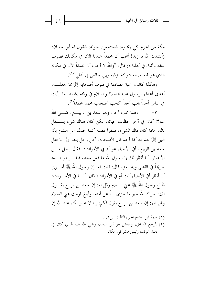مكة من الحرم كي يقتلوه، فيجتمعون حوله، فيقول له أبو سفيان: (أنشدك الله يا زيد! أتحب أن محمداً عندنا الآن في مكانك نضرب عنقه وأنك في أهلك؟) قال: "والله لا أحب أن محمداً الآن في مكانه الذي هو فيه تصيبه شوكة تؤذيه وإين جالس في أهلي"'``.

وهكذا كانت المحبة الصادقة في قلوب أصحابه ﷺ مما جعلـــت أعدى أعداء الرسول عليه الصلاة والسلام في وقته يشهد: ما رأيت في الناس أحداً يحب أحداً كحب أصحاب محمد محمداً<sup>(٢)</sup>.

وهذا محب آخر: وهو سعد بن الربيـــع رضــــى الله  $-\tau$ عنه؟! كان في آخر لحظات حياته، لكن كان هناك شيء يـــشغل باله، ماذا كان ذاك الشيء، فلنقرأ قصته كما حدثنا ابن هشام بأن النبي ﷺ بعد معركة أحد قال لأصحابه: "من رجل ينظر إلى ما فعل سعد بن الربيع، أُفي الأحياء هو أم في الأموات؟" فقال رجل مـــن الأنصار : أنا أنظر لك يا رسول الله ما فعل سعد، فنظـــر فوجــــده حريحاً في القتلي وبه رمق، قال: قلت له: إن رسول الله ﷺ أمــــربي أن أنظر أفي الأحياء أنت أم في الأموات؟ قال: أنـــا في الأمــــوات، فأبلغ رسول الله ﷺ عني السلام وقل له: إن سعد بن الربيع يقــــول لك: جزاك الله حير ما جزى نبياً عن أمته، وأبلغ قومك عني السلام وقل لهم: إن سعد بن الربيع يقول لكم: إنه لا عذر لكم عند الله إن

- (١) سيرة ابن هشام الجزء الثالث ص٥.
- (٢) المرجع السابق، والقائل هو أبو سفيان رضي الله عنه الذي كان في ذلك الوقت , ئيس مشركي مكة.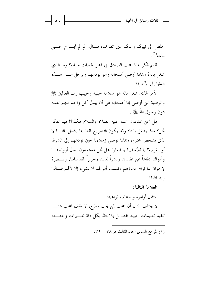

خلص إلى نبيكم ومنكم عين تطرف، قـــال: ثم لم أبــــرح حــــتي مات<sup>(۱)</sup>.

ففيم فكر هذا المحب الصادق في أخر لحظات حياته؟ وما الذي شغل باله؟ وبماذا أوصى أصحابه وهو يودعهم ويرحل مـــن هـــذه الدنيا إلى الآخرة؟

الأمر الذي شغل باله هو سلامة حبيبه وحبيب رب العالمين ﷺ والوصية التي أوصى بما أصحابه هي أن يبذل كل واحد منهم نفسه دون رسول الله ﷺ .

هل نحن المدعون لمحبته عليه الصلاة والسلام هكذا؟! فيم نفكر نحن؟ ماذا يشغل بالنا؟ وقد يكون التصريح فقط بما يشغل بالنــــا لا يليق بشخص محترم، وبماذا نوصي زملاءنا حين نودعهم إلى الشرق أو الغرب؟ يا للأسف! يا للعار! هل نحن مستعدون لبذل أرواحنـــا وأموالنا دفاعاً عن عقيدتنا ونشراً لديننا وتحريراً لمقدساتنا، ونـــصرة لإخوان لنا تراق دماؤهم وتسلب أموالهم لا لشيء إلا لأفمم قـــالوا , بنا الله!!!

العلامة الثالثة:

امتثال أوامره واجتناب نواهيه:

لا يختلف اثنان أن المحب لمن يحب مطيع، لا يقف المحب عنـــــد تنفيذ تعليمات حبيبه فقط بل يلاحظ بكل دقة تغسيرات وجهسه،

(١) المرجع السابق الجزء الثالث ص٣٨ - ٣٩.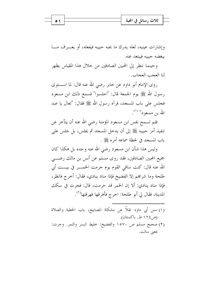|  | ి<br>- 11<br>، انحته<br>تلات ا |  |
|--|--------------------------------|--|
|  | . www.<br>$\sim$<br>ъ.         |  |
|  |                                |  |

وإشارات عينيه، لعله يدرك ما يحبه حبيبه فيفعله، أو يعـــرف مـــا يبغضه حبيبه فيبتعد عنه.

وحينما ننظر إلى المحبين الصادقين من حلال هذا المقياس يظهر لنا العجب العجاب.

روى الإمام أبو داود عن جابر رضي الله عنه قال: لما اســـتوى رسول الله ﷺ يوم الجمعة قال: "اجلسوا" فسمع ذلك ابن مسعود فجلس على باب المسجد، فرآه رسول الله ﷺ فقال: "تعال يا عبد الله بن مسعود" <sup>(۱)</sup>.

فلم تسمح نفس ابن مسعود المؤمنة رضي الله عنه أن يتأخر عن تنفيذ أمر حبيبه ﷺ إلى أن يدخل المسجد ثم يجلس، بل حلس على باب المسجد في لحظة سماعه أمره ﷺ .

وليس هذا شأن ابن مسعود رضي الله عنه وحده بل هكذا كان جميع المحبين الصادقين، فقد روى مسلم عن أنس بن مالك رضـــي الله عنه قال: كنت ساقى القوم يوم حرمت الخمــــر في بيــــت أبي طلحة وما شرابهم إلا الفضيخ فإذا مناد ينادي، فقال: أخرج فانظر، فإذا مناد ينادي: ألا إن الخمر قد حرمت، قال: فجرت في سكك المدينة، فقال لي أبو طلحة: اخرج فأهرقها فهرقتها<sup>(٢)</sup>.

- (١) سنن أبي داود نقلاً عن مشكاة المصابيح، باب الخطبة والصلاة (ص ١٢٤ ط. باكستان).
- (٢) صحيح مسلم ص ١٥٧٠ والفضيخ: حليط البسر والتمر. وحرت: بمعين سالت.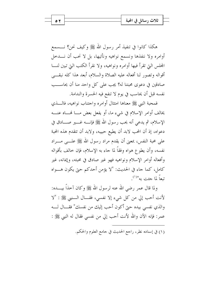هكذا كانوا في تنفيذ أمر رسول الله ﷺ وكيف نحن؟ نــــسمع أوامره ولا ننفذها ونسمع نواهيه ونأتيها، بل لا نحب أن نــــدخل المجلس التي تقرأ فيها أوامره ونواهيه، ولا نقرأ الكتب التي تبين لنسا أقواله وتصور لنا أفعاله عليه الصلاة والسلام، أبعد هذا كله نبقي صادقين في دعوى محبتنا له؟ يجب على كل واحد منا أن يحاســب نفسه قبل أن يحاسب في يوم لا تنفع فيه الحسرة والندامة.

فمحبة النبي ﷺ معناها امتثال أوامره واحتناب نواهيه، فالــــذي يخالف أوامر الإسلام في شيءٍ ما، أو يفعل بعض مـــا فمـــاه عنـــه الإسلام، ثم يدعى أنه يحب رسول الله ﷺ فإنــــه غـــــير صــــادق في دعواه، إذ أن المحب لابد أن يطيع حبيبه، ولابد أن تتقدم هذه المحبة على محبة النفس، بمعنى أن يقدم مراد رسول الله ﷺ علـــي مـــراد نفسه، وأن يطوع هواه وفقاً لما جاء به الإسلام، فإن حالف بأقواله وأفعاله أوامر الإسلام ونواهيه فهو غير صادق في محبته، وإيمانه، غير كامل، كما جاء في الحديث: "لا يؤمن أحدكم حتى يكون هــواه تبعاً لما جين به"<sup>(۱)</sup>

ولما قال عمر رضي الله عنه لرسول الله ﷺ وكان آخذاً بيــــده: لأنت أحب إلى من كل شيء إلا نفسي، فقـــال الــــنبي ﷺ : "لا والذي نفسي بيده حتى أكون أحب إليك من نفسك" فقـــال لــــه عمر: فإنه الآن والله لأنت أحب إلي من نفسي فقال له النبي ﷺ :

(١) في إسناده نظر، , اجع الحديث في جامع العلوم والحكم.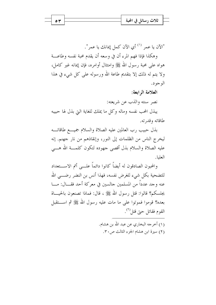

"الآن يا عمر <sup>(١)</sup> أي الآن كمل إيمانك يا عمر".

وهكذا فإذا فهم المرء أن في وسعه أن يقدم محبة نفسه وطاعـــة هواه على محبة رسول الله ﷺ وامتثال أوامره، فإن إيمانه غير كامل، ولا يتم له ذلك إلا بتقديم طاعة الله ورسوله على كل شيء في هذا الو جو د.

العلامة الرابعة:

نصر سنته والذب عن شريعته:

يبذل المحب نفسه وماله وكل ما يملك للغاية التي بذل لها حبيبه طاقاته وقدرته.

بذل حبيب رب العالمين عليه الصلاة والسلام جميـــع طاقاتـــه ليخرج الناس من الظلمات إلى النور، وإنقاذهم من نار جهنم. إنه عليه الصلاة والسلام بذل أقصى جهوده لتكون كلمـــة الله هـــي العليا.

والمحبون الصادقون له أيضاً كانوا دائماً علـــى أتم الاســـتعداد للتضحية بكل شيء للغرض نفسه، فهذا أنس بن النضر رضــــي الله عنه وجد عدداً من المسلمين جالسين في معركة أحد فقـــال: مــــا يجلسكم؟ قالوا: قتل رسول الله ﷺ ، قال: فماذا تصنعون بالحيـــاة بعده؟ قوموا فموتوا على ما مات عليه رسول الله ﷺ ثم اســـتقبل القوم فقاتل حتى قتل<sup>(٢)</sup>.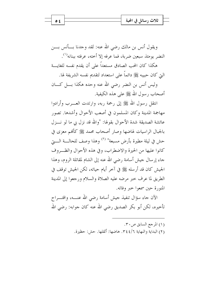|  | ں رے                         |  |
|--|------------------------------|--|
|  | $\overline{\phantom{a}}$<br> |  |
|  |                              |  |

ويقول أنس بن مالك رضي الله عنه: لقد وجدنا بسأنس بسن النضر يومئذ سبعين ضربة، فما عرفه إلا أخته، عرفته ببنانه<sup>(١)</sup>.

هكذا كان المحب الصادق مستعداً على أن يقدم نفسه للغايسة التي كان حبيبه ﷺ دائماً على استعداد لتقديم نفسه الشريفة لها.

وليس أنس بن النضر رضي الله عنه وحده هكذا بسل كسان أصحاب , سول الله ﷺ على هذه الكيفية.

انتقل رسول الله ﷺ إلى رحمة ربه، وارتدت العــــرب وأرادوا مهاجمة المدينة وكان المسلمون في أصعب الأحوال وأشدها. تصور عائشة الصديقة شدة الأحوال بقولها: "والله قد نزل بي ما لو نـــزل بالجبال الراسيات لهاضها وصار أصحاب محمد ﷺ كألهم معزى في حش في ليلة مطيرة بأرض مسبعة" <sup>(٢)</sup> وهذا وصف للحالـــة الــــــــق كانوا عليها من الحيرة والاضطراب، وفي هذه الأحوال والظب وف جاء إرسال جيش أسامة رضى الله عنه إلى الشام لمقاتلة الروم، وهذا الجيش كان قد أرسله ﷺ في آخر أيام حياته، لكن الجيش توقف في الطريق لما عرف خبر مرضه عليه الصلاة والسلام ورجعوا إلى المدينة المنورة حين سمعوا حير وفاته.

الآن جاء سؤال تنفيذ جيش أسامة رضي الله عنـــه، واقتــــراح تأخيره، لكن أبو بكر الصديق رضي الله عنه كان جوابه: رضي الله

> (١) المرجع السابق ص٢٠. (٢) البداية والنهاية ٣٤٤/٦. هاضها: أثقلها. حش: حظيرة.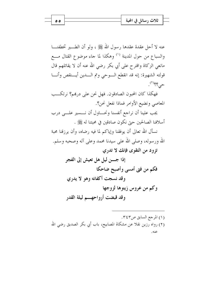| یں است       |  |
|--------------|--|
| ل کالا س<br> |  |

عنه لا أحل عقدة عقدها رسول الله ﷺ ، ولو أن الطب تخطفنـــا والسباع من حول المدينة <sup>(١)</sup> وهكذا لما جاء موضوع القتال مـــع مانعي الزكاة واقترح على أبي بكر رضي الله عنه أن لا يقاتلهم قال قولته الشهيرة: إنه قد انقطع الـوحي وتم الـــدين أيـــنقص وأنـــا  $\leq 2^{2}$ 

فهكذا كان المحبون الصادقون. فهل نحن على درهم؟ نرتكــب المعاصي ونضيع الأوامر فماذا نفعل نحن؟. يجب علينا أن نراجع أنفسنا ونحساول أن نــــسير علــــى درب

أسلافنا الصالحين حتى نكون صادقين في محبتنا له ﷺ .

نسأل الله تعالى أن يوفقنا وإياكم لما فيه رضاه، وأن يرزقنا محبة الله ورسوله، وصلى الله على سيدنا محمد وعلى آله وصحبه وسلم. تزود من التقوى فإنك لا تدرى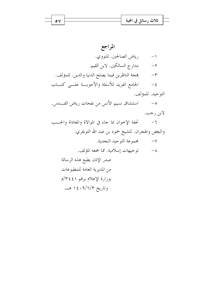| 17'<br>$\lambda \ge 1.9$<br>تلات                                        |  |
|-------------------------------------------------------------------------|--|
| $, \, \bullet \, \bullet \, \bullet \, \bullet$<br>$\ddot{\phantom{0}}$ |  |

 $\bullet$   $\vee$ 

المراجع رياض الصالحين. للنووي.  $\backslash$ مدارج السالكين. لابن القيم.  $-7$ بِمجة الناظرين فيما يصلح الدنيا والدين. للمؤلف.  $-\tau$ الجامع الفريد للأسئلة والأجوبة علــي كتـــاب  $-\xi$ التوحيد. للمؤلف. استنشاق نسيم الأنس من نفحات رياض القـــدس.  $-\circ$ لابن رجب. تحفة الإخوان بما جاء في الموالاة والمعاداة والحـــب  $-7$ والبغض والهجران. للشيخ حمود بن عبد الله التويجري. ٨– توجيهات إسلامية. مما جمعه المؤلف. صدر الإذن بطبع هذه الرسالة من المديرية العامة للمطبوعات بوزارة الإعلام برقم ٢٤٤١/م وتاريخ ۱٤٠٩/٦/٣ هــــ